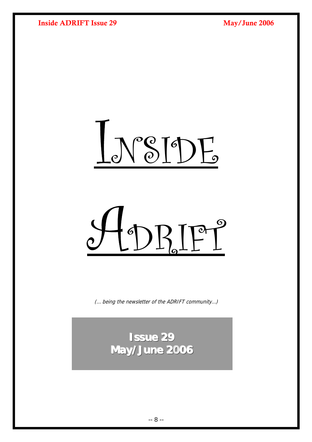<span id="page-0-0"></span>

t DRIFT<sup>9</sup>

(… being the newsletter of the ADRIFT community…)

**Issue 29 May/June 2006**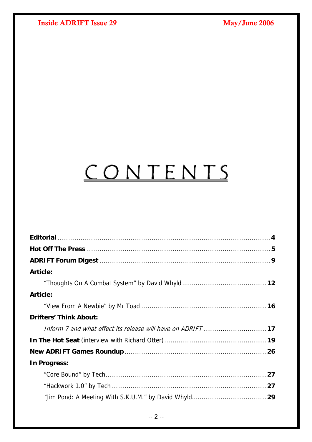# CONTENTS

| <b>Article:</b>                                            |  |
|------------------------------------------------------------|--|
|                                                            |  |
| <b>Article:</b>                                            |  |
|                                                            |  |
| <b>Drifters' Think About:</b>                              |  |
| Inform 7 and what effect its release will have on ADRIFT17 |  |
|                                                            |  |
|                                                            |  |
| In Progress:                                               |  |
|                                                            |  |
|                                                            |  |
|                                                            |  |
|                                                            |  |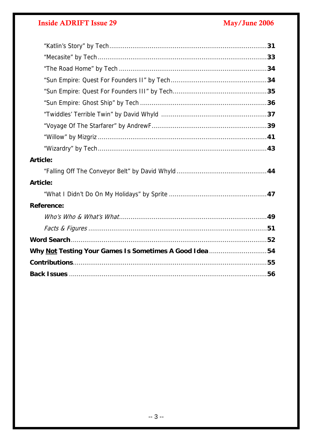## **Inside ADRIFT Issue 29**

## May/June 2006

| <b>Article:</b>                                        |
|--------------------------------------------------------|
|                                                        |
| <b>Article:</b>                                        |
|                                                        |
| Reference:                                             |
|                                                        |
|                                                        |
|                                                        |
| Why Not Testing Your Games Is Sometimes A Good Idea 54 |
|                                                        |
|                                                        |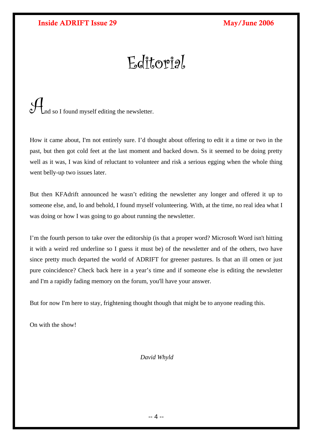# Editorial

<span id="page-3-0"></span>And so I found myself editing the newsletter.

How it came about, I'm not entirely sure. I'd thought about offering to edit it a time or two in the past, but then got cold feet at the last moment and backed down. Ss it seemed to be doing pretty well as it was, I was kind of reluctant to volunteer and risk a serious egging when the whole thing went belly-up two issues later.

But then KFAdrift announced he wasn't editing the newsletter any longer and offered it up to someone else, and, lo and behold, I found myself volunteering. With, at the time, no real idea what I was doing or how I was going to go about running the newsletter.

I'm the fourth person to take over the editorship (is that a proper word? Microsoft Word isn't hitting it with a weird red underline so I guess it must be) of the newsletter and of the others, two have since pretty much departed the world of ADRIFT for greener pastures. Is that an ill omen or just pure coincidence? Check back here in a year's time and if someone else is editing the newsletter and I'm a rapidly fading memory on the forum, you'll have your answer.

But for now I'm here to stay, frightening thought though that might be to anyone reading this.

On with the show!

 *David Whyld*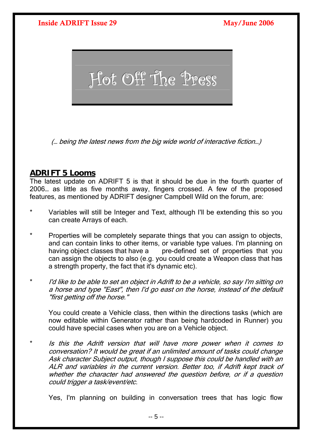<span id="page-4-0"></span>

(… being the latest news from the big wide world of interactive fiction…)

## **ADRIFT 5 Looms**

The latest update on ADRIFT 5 is that it should be due in the fourth quarter of 2006… as little as five months away, fingers crossed. A few of the proposed features, as mentioned by ADRIFT designer Campbell Wild on the forum, are:

- Variables will still be Integer and Text, although I'll be extending this so you can create Arrays of each.
- \* Properties will be completely separate things that you can assign to objects, and can contain links to other items, or variable type values. I'm planning on having object classes that have a pre-defined set of properties that you can assign the objects to also (e.g. you could create a Weapon class that has a strength property, the fact that it's dynamic etc).
- I'd like to be able to set an object in Adrift to be a vehicle, so say I'm sitting on a horse and type "East", then I'd go east on the horse, instead of the default "first getting off the horse."

You could create a Vehicle class, then within the directions tasks (which are now editable within Generator rather than being hardcoded in Runner) you could have special cases when you are on a Vehicle object.

Is this the Adrift version that will have more power when it comes to conversation? It would be great if an unlimited amount of tasks could change Ask character Subject output, though I suppose this could be handled with an ALR and variables in the current version. Better too, if Adrift kept track of whether the character had answered the question before, or if a question could trigger a task/event/etc.

Yes, I'm planning on building in conversation trees that has logic flow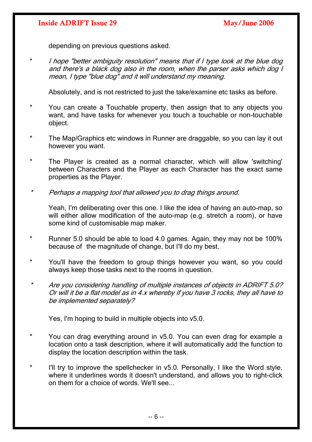depending on previous questions asked.

\* I hope "better ambiguity resolution" means that if I type look at the blue dog and there's a black dog also in the room, when the parser asks which dog I mean, I type "blue dog" and it will understand my meaning.

Absolutely, and is not restricted to just the take/examine etc tasks as before.

- You can create a Touchable property, then assign that to any objects you want, and have tasks for whenever you touch a touchable or non-touchable object.
- \* The Map/Graphics etc windows in Runner are draggable, so you can lay it out however you want.
- \* The Player is created as a normal character, which will allow 'switching' between Characters and the Player as each Character has the exact same properties as the Player.
- \* Perhaps a mapping tool that allowed you to drag things around.

Yeah, I'm deliberating over this one. I like the idea of having an auto-map, so will either allow modification of the auto-map (e.g. stretch a room), or have some kind of customisable map maker.

- \* Runner 5.0 should be able to load 4.0 games. Again, they may not be 100% because of the magnitude of change, but I'll do my best.
- You'll have the freedom to group things however you want, so you could always keep those tasks next to the rooms in question.
- \* Are you considering handling of multiple instances of objects in ADRIFT 5.0? Or will it be a flat model as in 4.x whereby if you have 3 rocks, they all have to be implemented separately?

Yes, I'm hoping to build in multiple objects into v5.0.

- \* You can drag everything around in v5.0. You can even drag for example a location onto a task description, where it will automatically add the function to display the location description within the task.
- I'll try to improve the spellchecker in  $v5.0$ . Personally, I like the Word style, where it underlines words it doesn't understand, and allows you to right-click on them for a choice of words. We'll see...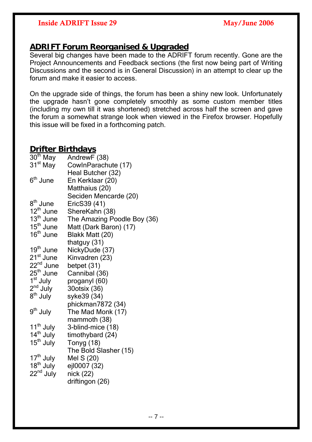## **ADRIFT Forum Reorganised & Upgraded**

Several big changes have been made to the ADRIFT forum recently. Gone are the Project Announcements and Feedback sections (the first now being part of Writing Discussions and the second is in General Discussion) in an attempt to clear up the forum and make it easier to access.

On the upgrade side of things, the forum has been a shiny new look. Unfortunately the upgrade hasn't gone completely smoothly as some custom member titles (including my own till it was shortened) stretched across half the screen and gave the forum a somewhat strange look when viewed in the Firefox browser. Hopefully this issue will be fixed in a forthcoming patch.

## **Drifter Birthdays**

| $30th$ May                           | AndrewF (38)                |
|--------------------------------------|-----------------------------|
| 31 <sup>st</sup> May                 | CowInParachute (17)         |
|                                      | Heal Butcher (32)           |
| 6 <sup>th</sup> June                 | En Kerklaar (20)            |
|                                      | Matthaius (20)              |
|                                      | Seciden Mencarde (20)       |
| 8 <sup>th</sup> June                 | EricS39 (41)                |
| 12 <sup>th</sup> June                | ShereKahn (38)              |
| $13th$ June                          | The Amazing Poodle Boy (36) |
| 15 <sup>th</sup> June                | Matt (Dark Baron) (17)      |
| 16 <sup>th</sup> June                | Blakk Matt (20)             |
|                                      | thatguy (31)                |
| 19 <sup>th</sup> June                | NickyDude (37)              |
| $21st$ June<br>22 <sup>nd</sup> June | Kinvadren (23)              |
|                                      | betpet (31)                 |
| $25th$ June                          | Cannibal (36)               |
| $1st$ July<br>$2nd$ July             | proganyl (60)               |
|                                      | 30otsix (36)                |
| 8 <sup>th</sup> July                 | syke39 (34)                 |
|                                      | phickman7872 (34)           |
| 9 <sup>th</sup> July                 | The Mad Monk (17)           |
|                                      | mammoth (38)                |
| 11 <sup>th</sup> July                | 3-blind-mice (18)           |
| 14 <sup>th</sup> July                | timothybard (24)            |
| 15 <sup>th</sup> July                | Tonyg (18)                  |
|                                      | The Bold Slasher (15)       |
| $17^{\text{th}}$ July                | Mel S (20)                  |
| 18 <sup>th</sup> July                | ejl0007 (32)                |
| 22 <sup>nd</sup> July                | nick (22)                   |
|                                      | driftingon (26)             |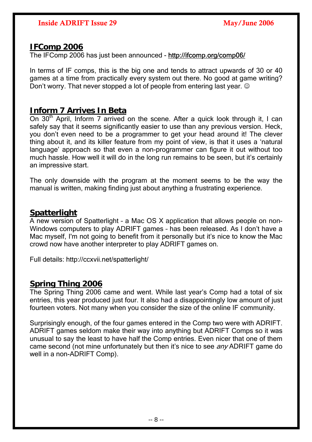## **IFComp 2006**

The IFComp 2006 has just been announced - <http://ifcomp.org/comp06/>

In terms of IF comps, this is the big one and tends to attract upwards of 30 or 40 games at a time from practically every system out there. No good at game writing? Don't worry. That never stopped a lot of people from entering last year.  $\odot$ 

## **Inform 7 Arrives In Beta**

On  $30<sup>th</sup>$  April, Inform 7 arrived on the scene. After a quick look through it, I can safely say that it seems significantly easier to use than any previous version. Heck, you don't even need to be a programmer to get your head around it! The clever thing about it, and its killer feature from my point of view, is that it uses a 'natural language' approach so that even a non-programmer can figure it out without too much hassle. How well it will do in the long run remains to be seen, but it's certainly an impressive start.

The only downside with the program at the moment seems to be the way the manual is written, making finding just about anything a frustrating experience.

## **Spatterlight**

A new version of Spatterlight – a Mac OS X application that allows people on non-Windows computers to play ADRIFT games – has been released. As I don't have a Mac myself, I'm not going to benefit from it personally but it's nice to know the Mac crowd now have another interpreter to play ADRIFT games on.

Full details:<http://ccxvii.net/spatterlight/>

## **Spring Thing 2006**

The Spring Thing 2006 came and went. While last year's Comp had a total of six entries, this year produced just four. It also had a disappointingly low amount of just fourteen voters. Not many when you consider the size of the online IF community.

Surprisingly enough, of the four games entered in the Comp two were with ADRIFT. ADRIFT games seldom make their way into anything but ADRIFT Comps so it was unusual to say the least to have half the Comp entries. Even nicer that one of them came second (not mine unfortunately but then it's nice to see *any* ADRIFT game do well in a non-ADRIFT Comp).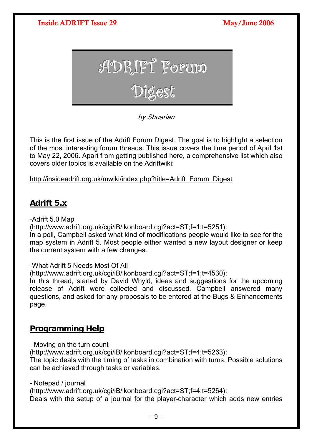

by Shuarian

This is the first issue of the Adrift Forum Digest. The goal is to highlight a selection of the most interesting forum threads. This issue covers the time period of April 1st to May 22, 2006. Apart from getting published here, a comprehensive list which also covers older topics is available on the Adriftwiki:

## [http://insideadrift.org.uk/mwiki/index.php?title=Adrift\\_Forum\\_Digest](http://insideadrift.org.uk/mwiki/index.php?title=Adrift_Forum_Digest)

## **Adrift 5.x**

-Adrift 5.0 Map

(http://www.adrift.org.uk/cgi/iB/ikonboard.cgi?act=ST;f=1;t=5251):

In a poll, Campbell asked what kind of modifications people would like to see for the map system in Adrift 5. Most people either wanted a new layout designer or keep the current system with a few changes.

## -What Adrift 5 Needs Most Of All

(http://www.adrift.org.uk/cgi/iB/ikonboard.cgi?act=ST;f=1;t=4530):

In this thread, started by David Whyld, ideas and suggestions for the upcoming release of Adrift were collected and discussed. Campbell answered many questions, and asked for any proposals to be entered at the Bugs & Enhancements page.

## **Programming Help**

- Moving on the turn count

(http://www.adrift.org.uk/cgi/iB/ikonboard.cgi?act=ST;f=4;t=5263):

The topic deals with the timing of tasks in combination with turns. Possible solutions can be achieved through tasks or variables.

- Notepad / journal

(http://www.adrift.org.uk/cgi/iB/ikonboard.cgi?act=ST;f=4;t=5264): Deals with the setup of a journal for the player-character which adds new entries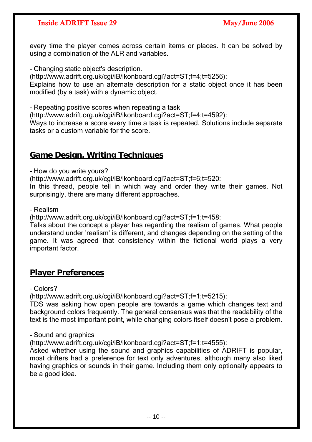every time the player comes across certain items or places. It can be solved by using a combination of the ALR and variables.

- Changing static object's description.

(http://www.adrift.org.uk/cgi/iB/ikonboard.cgi?act=ST;f=4;t=5256): Explains how to use an alternate description for a static object once it has been modified (by a task) with a dynamic object.

- Repeating positive scores when repeating a task

(http://www.adrift.org.uk/cgi/iB/ikonboard.cgi?act=ST;f=4;t=4592):

Ways to increase a score every time a task is repeated. Solutions include separate tasks or a custom variable for the score.

## **Game Design, Writing Techniques**

- How do you write yours?

(http://www.adrift.org.uk/cgi/iB/ikonboard.cgi?act=ST;f=6;t=520:

In this thread, people tell in which way and order they write their games. Not surprisingly, there are many different approaches.

- Realism

(http://www.adrift.org.uk/cgi/iB/ikonboard.cgi?act=ST;f=1;t=458:

Talks about the concept a player has regarding the realism of games. What people understand under 'realism' is different, and changes depending on the setting of the game. It was agreed that consistency within the fictional world plays a very important factor.

## **Player Preferences**

- Colors?

(http://www.adrift.org.uk/cgi/iB/ikonboard.cgi?act=ST;f=1;t=5215):

TDS was asking how open people are towards a game which changes text and background colors frequently. The general consensus was that the readability of the text is the most important point, while changing colors itself doesn't pose a problem.

- Sound and graphics

(http://www.adrift.org.uk/cgi/iB/ikonboard.cgi?act=ST;f=1;t=4555):

Asked whether using the sound and graphics capabilities of ADRIFT is popular, most drifters had a preference for text only adventures, although many also liked having graphics or sounds in their game. Including them only optionally appears to be a good idea.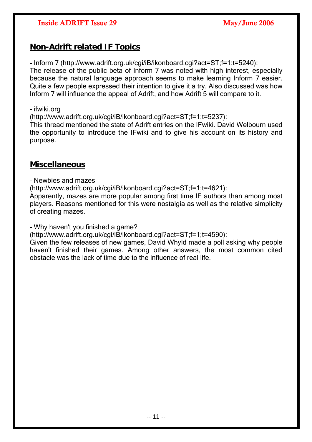## **Non-Adrift related IF Topics**

- Inform 7 (http://www.adrift.org.uk/cgi/iB/ikonboard.cgi?act=ST;f=1;t=5240): The release of the public beta of Inform 7 was noted with high interest, especially because the natural language approach seems to make learning Inform 7 easier. Quite a few people expressed their intention to give it a try. Also discussed was how Inform 7 will influence the appeal of Adrift, and how Adrift 5 will compare to it.

### - ifwiki.org

(http://www.adrift.org.uk/cgi/iB/ikonboard.cgi?act=ST;f=1;t=5237):

This thread mentioned the state of Adrift entries on the IFwiki. David Welbourn used the opportunity to introduce the IFwiki and to give his account on its history and purpose.

## **Miscellaneous**

- Newbies and mazes

(http://www.adrift.org.uk/cgi/iB/ikonboard.cgi?act=ST;f=1;t=4621):

Apparently, mazes are more popular among first time IF authors than among most players. Reasons mentioned for this were nostalgia as well as the relative simplicity of creating mazes.

- Why haven't you finished a game?

(http://www.adrift.org.uk/cgi/iB/ikonboard.cgi?act=ST;f=1;t=4590):

Given the few releases of new games, David Whyld made a poll asking why people haven't finished their games. Among other answers, the most common cited obstacle was the lack of time due to the influence of real life.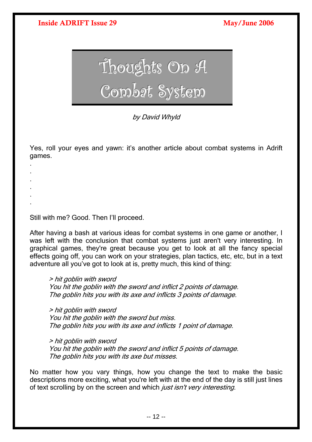<span id="page-11-0"></span>

by David Whyld

Yes, roll your eyes and yawn: it's another article about combat systems in Adrift games.

Still with me? Good. Then I'll proceed.

. . . . . .

After having a bash at various ideas for combat systems in one game or another, I was left with the conclusion that combat systems just aren't very interesting. In graphical games, they're great because you get to look at all the fancy special effects going off, you can work on your strategies, plan tactics, etc, etc, but in a text adventure all you've got to look at is, pretty much, this kind of thing:

> hit goblin with sword You hit the goblin with the sword and inflict 2 points of damage. The goblin hits you with its axe and inflicts 3 points of damage.

> hit goblin with sword You hit the goblin with the sword but miss. The goblin hits you with its axe and inflicts 1 point of damage.

> hit goblin with sword You hit the goblin with the sword and inflict 5 points of damage. The goblin hits you with its axe but misses.

No matter how you vary things, how you change the text to make the basic descriptions more exciting, what you're left with at the end of the day is still just lines of text scrolling by on the screen and which *just isn't very interesting*.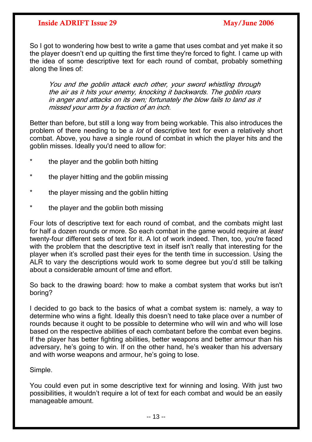So I got to wondering how best to write a game that uses combat and yet make it so the player doesn't end up quitting the first time they're forced to fight. I came up with the idea of some descriptive text for each round of combat, probably something along the lines of:

in anger and attacks on its own; fortunately the blow fails to land as it You and the goblin attack each other, your sword whistling through the air as it hits your enemy, knocking it backwards. The goblin roars missed your arm by a fraction of an inch.

Better than before, but still a long way from being workable. This also introduces the problem of there needing to be a *lot* of descriptive text for even a relatively short combat. Above, you have a single round of combat in which the player hits and the goblin misses. Ideally you'd need to allow for:

- the player and the goblin both hitting
- \* the player hitting and the goblin missing
- \* the player missing and the goblin hitting
- the player and the goblin both missing

Four lots of descriptive text for each round of combat, and the combats might last for half a dozen rounds or more. So each combat in the game would require at *least* twenty-four different sets of text for it. A lot of work indeed. Then, too, you're faced with the problem that the descriptive text in itself isn't really that interesting for the player when it's scrolled past their eyes for the tenth time in succession. Using the ALR to vary the descriptions would work to some degree but you'd still be talking about a considerable amount of time and effort.

So back to the drawing board: how to make a combat system that works but isn't boring?

I decided to go back to the basics of what a combat system is: namely, a way to determine who wins a fight. Ideally this doesn't need to take place over a number of rounds because it ought to be possible to determine who will win and who will lose based on the respective abilities of each combatant before the combat even begins. If the player has better fighting abilities, better weapons and better armour than his adversary, he's going to win. If on the other hand, he's weaker than his adversary and with worse weapons and armour, he's going to lose.

Simple.

You could even put in some descriptive text for winning and losing. With just two possibilities, it wouldn't require a lot of text for each combat and would be an easily manageable amount.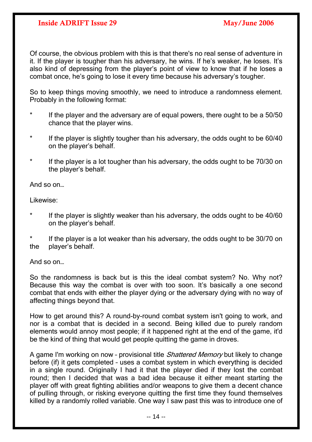Of course, the obvious problem with this is that there's no real sense of adventure in it. If the player is tougher than his adversary, he wins. If he's weaker, he loses. It's also kind of depressing from the player's point of view to know that if he loses a combat once, he's going to lose it every time because his adversary's tougher.

So to keep things moving smoothly, we need to introduce a randomness element. Probably in the following format:

- If the player and the adversary are of equal powers, there ought to be a  $50/50$ chance that the player wins.
- \* If the player is slightly tougher than his adversary, the odds ought to be 60/40 on the player's behalf.
- \* If the player is a lot tougher than his adversary, the odds ought to be 70/30 on the player's behalf.

And so on…

Likewise:

If the player is slightly weaker than his adversary, the odds ought to be 40/60 on the player's behalf.

\* If the player is a lot weaker than his adversary, the odds ought to be 30/70 on the player's behalf.

And so on…

So the randomness is back but is this the ideal combat system? No. Why not? Because this way the combat is over with too soon. It's basically a one second combat that ends with either the player dying or the adversary dying with no way of affecting things beyond that.

How to get around this? A round-by-round combat system isn't going to work, and nor is a combat that is decided in a second. Being killed due to purely random elements would annoy most people; if it happened right at the end of the game, it'd be the kind of thing that would get people quitting the game in droves.

A game I'm working on now - provisional title *Shattered Memory* but likely to change before (if) it gets completed – uses a combat system in which everything is decided in a single round. Originally I had it that the player died if they lost the combat round; then I decided that was a bad idea because it either meant starting the player off with great fighting abilities and/or weapons to give them a decent chance of pulling through, or risking everyone quitting the first time they found themselves killed by a randomly rolled variable. One way I saw past this was to introduce one of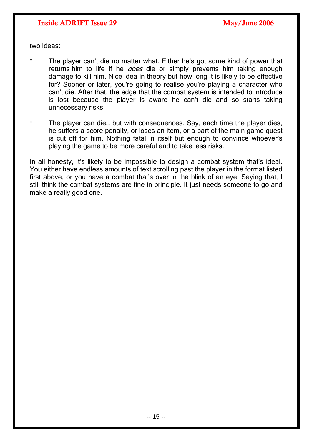two ideas:

- The player can't die no matter what. Either he's got some kind of power that returns him to life if he *does* die or simply prevents him taking enough damage to kill him. Nice idea in theory but how long it is likely to be effective for? Sooner or later, you're going to realise you're playing a character who can't die. After that, the edge that the combat system is intended to introduce is lost because the player is aware he can't die and so starts taking unnecessary risks.
- \* The player can die… but with consequences. Say, each time the player dies, he suffers a score penalty, or loses an item, or a part of the main game quest is cut off for him. Nothing fatal in itself but enough to convince whoever's playing the game to be more careful and to take less risks.

In all honesty, it's likely to be impossible to design a combat system that's ideal. You either have endless amounts of text scrolling past the player in the format listed first above, or you have a combat that's over in the blink of an eye. Saying that, I still think the combat systems are fine in principle. It just needs someone to go and make a really good one.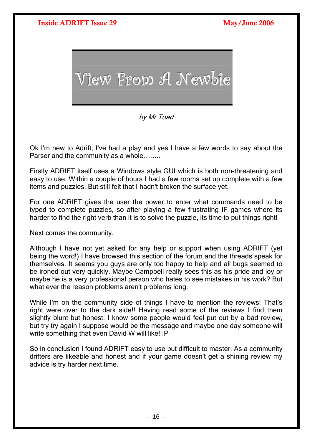<span id="page-15-0"></span>

by Mr Toad

Ok I'm new to Adrift, I've had a play and yes I have a few words to say about the Parser and the community as a whole.........

Firstly ADRIFT itself uses a Windows style GUI which is both non-threatening and easy to use. Within a couple of hours I had a few rooms set up complete with a few items and puzzles. But still felt that I hadn't broken the surface yet.

For one ADRIFT gives the user the power to enter what commands need to be typed to complete puzzles, so after playing a few frustrating IF games where its harder to find the right verb than it is to solve the puzzle, its time to put things right!

Next comes the community.

Although I have not yet asked for any help or support when using ADRIFT (yet being the word!) I have browsed this section of the forum and the threads speak for themselves. It seems you guys are only too happy to help and all bugs seemed to be ironed out very quickly. Maybe Campbell really sees this as his pride and joy or maybe he is a very professional person who hates to see mistakes in his work? But what ever the reason problems aren't problems long.

While I'm on the community side of things I have to mention the reviews! That's right were over to the dark side!! Having read some of the reviews I find them slightly blunt but honest. I know some people would feel put out by a bad review, but try try again I suppose would be the message and maybe one day someone will write something that even David W will like! : P

So in conclusion I found ADRIFT easy to use but difficult to master. As a community drifters are likeable and honest and if your game doesn't get a shining review my advice is try harder next time.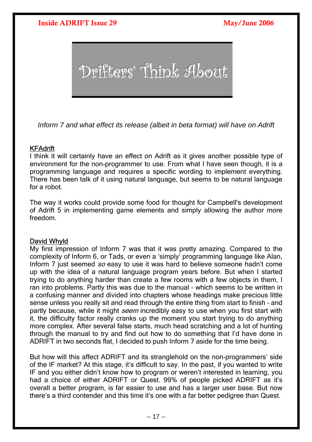<span id="page-16-0"></span>

*Inform 7 and what effect its release (albeit in beta format) will have on Adrift*

### **KFAdrift**

I think it will certainly have an effect on Adrift as it gives another possible type of environment for the non-programmer to use. From what I have seen though, it is a programming language and requires a specific wording to implement everything. There has been talk of it using natural language, but seems to be natural language for a robot.

The way it works could provide some food for thought for Campbell's development of Adrift 5 in implementing game elements and simply allowing the author more freedom.

### David Whyld

My first impression of Inform 7 was that it was pretty amazing. Compared to the complexity of Inform 6, or Tads, or even a 'simply' programming language like Alan, Inform 7 just seemed so easy to use it was hard to believe someone hadn't come up with the idea of a natural language program years before. But when I started trying to do anything harder than create a few rooms with a few objects in them, I ran into problems. Partly this was due to the manual – which seems to be written in a confusing manner and divided into chapters whose headings make precious little sense unless you really sit and read through the entire thing from start to finish – and partly because, while it might *seem* incredibly easy to use when you first start with it, the difficulty factor really cranks up the moment you start trying to do anything more complex. After several false starts, much head scratching and a lot of hunting through the manual to try and find out how to do something that I'd have done in ADRIFT in two seconds flat, I decided to push Inform 7 aside for the time being.

But how will this affect ADRIFT and its stranglehold on the non-programmers' side of the IF market? At this stage, it's difficult to say. In the past, if you wanted to write IF and you either didn't know how to program or weren't interested in learning, you had a choice of either ADRIFT or Quest. 99% of people picked ADRIFT as it's overall a better program, is far easier to use and has a larger user base. But now there's a third contender and this time it's one with a far better pedigree than Quest.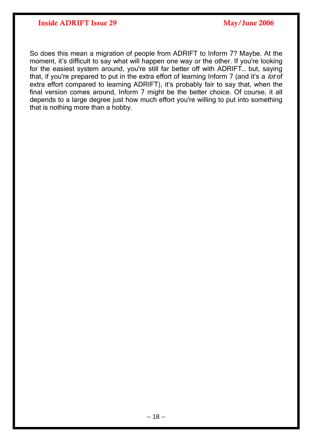So does this mean a migration of people from ADRIFT to Inform 7? Maybe. At the moment, it's difficult to say what will happen one way or the other. If you're looking for the easiest system around, you're still far better off with ADRIFT… but, saying that, if you're prepared to put in the extra effort of learning Inform 7 (and it's a lot of extra effort compared to learning ADRIFT), it's probably fair to say that, when the final version comes around, Inform 7 might be the better choice. Of course, it all depends to a large degree just how much effort you're willing to put into something that is nothing more than a hobby.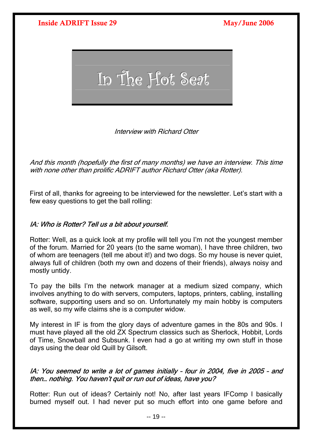

Interview with Richard Otter

And this month (hopefully the first of many months) we have an interview. This time with none other than prolific ADRIFT author Richard Otter (aka Rotter).

First of all, thanks for agreeing to be interviewed for the newsletter. Let's start with a few easy questions to get the ball rolling:

## IA: Who is Rotter? Tell us a bit about yourself.

Rotter: Well, as a quick look at my profile will tell you I'm not the youngest member of the forum. Married for 20 years (to the same woman), I have three children, two of whom are teenagers (tell me about it!) and two dogs. So my house is never quiet, always full of children (both my own and dozens of their friends), always noisy and mostly untidy.

To pay the bills I'm the network manager at a medium sized company, which involves anything to do with servers, computers, laptops, printers, cabling, installing software, supporting users and so on. Unfortunately my main hobby is computers as well, so my wife claims she is a computer widow.

My interest in IF is from the glory days of adventure games in the 80s and 90s. I must have played all the old ZX Spectrum classics such as Sherlock, Hobbit, Lords of Time, Snowball and Subsunk. I even had a go at writing my own stuff in those days using the dear old Quill by Gilsoft.

## IA: You seemed to write a lot of games initially – four in 2004, five in 2005 – and then… nothing. You haven't quit or run out of ideas, have you?

Rotter: Run out of ideas? Certainly not! No, after last years IFComp I basically burned myself out. I had never put so much effort into one game before and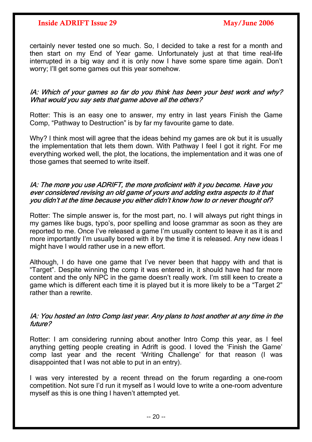certainly never tested one so much. So, I decided to take a rest for a month and then start on my End of Year game. Unfortunately just at that time real-life interrupted in a big way and it is only now I have some spare time again. Don't worry; I'll get some games out this year somehow.

## IA: Which of your games so far do you think has been your best work and why? What would you say sets that game above all the others?

Rotter: This is an easy one to answer, my entry in last years Finish the Game Comp, "Pathway to Destruction" is by far my favourite game to date.

Why? I think most will agree that the ideas behind my games are ok but it is usually the implementation that lets them down. With Pathway I feel I got it right. For me everything worked well, the plot, the locations, the implementation and it was one of those games that seemed to write itself.

### IA: The more you use ADRIFT, the more proficient with it you become. Have you ever considered revising an old game of yours and adding extra aspects to it that you didn't at the time because you either didn't know how to or never thought of?

Rotter: The simple answer is, for the most part, no. I will always put right things in my games like bugs, typo's, poor spelling and loose grammar as soon as they are reported to me. Once I've released a game I'm usually content to leave it as it is and more importantly I'm usually bored with it by the time it is released. Any new ideas I might have I would rather use in a new effort.

Although, I do have one game that I've never been that happy with and that is "Target". Despite winning the comp it was entered in, it should have had far more content and the only NPC in the game doesn't really work. I'm still keen to create a game which is different each time it is played but it is more likely to be a "Target 2" rather than a rewrite.

### IA: You hosted an Intro Comp last year. Any plans to host another at any time in the future?

Rotter: I am considering running about another Intro Comp this year, as I feel anything getting people creating in Adrift is good. I loved the 'Finish the Game' comp last year and the recent 'Writing Challenge' for that reason (I was disappointed that I was not able to put in an entry).

I was very interested by a recent thread on the forum regarding a one-room competition. Not sure I'd run it myself as I would love to write a one-room adventure myself as this is one thing I haven't attempted yet.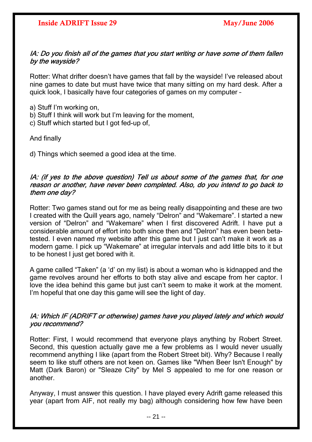## IA: Do you finish all of the games that you start writing or have some of them fallen by the wayside?

Rotter: What drifter doesn't have games that fall by the wayside! I've released about nine games to date but must have twice that many sitting on my hard desk. After a quick look, I basically have four categories of games on my computer –

- a) Stuff I'm working on,
- b) Stuff I think will work but I'm leaving for the moment,
- c) Stuff which started but I got fed-up of,

And finally

d) Things which seemed a good idea at the time.

## IA: (if yes to the above question) Tell us about some of the games that, for one reason or another, have never been completed. Also, do you intend to go back to them one day?

Rotter: Two games stand out for me as being really disappointing and these are two I created with the Quill years ago, namely "Delron" and "Wakemare". I started a new version of "Delron" and "Wakemare" when I first discovered Adrift. I have put a considerable amount of effort into both since then and "Delron" has even been betatested. I even named my website after this game but I just can't make it work as a modern game. I pick up "Wakemare" at irregular intervals and add little bits to it but to be honest I just get bored with it.

A game called "Taken" (a 'd' on my list) is about a woman who is kidnapped and the game revolves around her efforts to both stay alive and escape from her captor. I love the idea behind this game but just can't seem to make it work at the moment. I'm hopeful that one day this game will see the light of day.

## IA: Which IF (ADRIFT or otherwise) games have you played lately and which would you recommend?

Rotter: First, I would recommend that everyone plays anything by Robert Street. Second, this question actually gave me a few problems as I would never usually recommend anything I like (apart from the Robert Street bit). Why? Because I really seem to like stuff others are not keen on. Games like "When Beer Isn't Enough" by Matt (Dark Baron) or "Sleaze City" by Mel S appealed to me for one reason or another.

Anyway, I must answer this question. I have played every Adrift game released this year (apart from AIF, not really my bag) although considering how few have been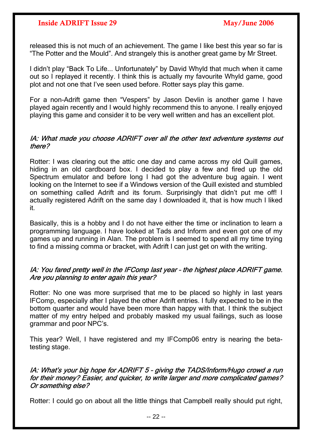released this is not much of an achievement. The game I like best this year so far is "The Potter and the Mould". And strangely this is another great game by Mr Street.

I didn't play "Back To Life... Unfortunately" by David Whyld that much when it came out so I replayed it recently. I think this is actually my favourite Whyld game, good plot and not one that I've seen used before. Rotter says play this game.

For a non-Adrift game then "Vespers" by Jason Devlin is another game I have played again recently and I would highly recommend this to anyone. I really enjoyed playing this game and consider it to be very well written and has an excellent plot.

## IA: What made you choose ADRIFT over all the other text adventure systems out there?

Rotter: I was clearing out the attic one day and came across my old Quill games, hiding in an old cardboard box. I decided to play a few and fired up the old Spectrum emulator and before long I had got the adventure bug again. I went looking on the Internet to see if a Windows version of the Quill existed and stumbled on something called Adrift and its forum. Surprisingly that didn't put me off! I actually registered Adrift on the same day I downloaded it, that is how much I liked it.

Basically, this is a hobby and I do not have either the time or inclination to learn a programming language. I have looked at Tads and Inform and even got one of my games up and running in Alan. The problem is I seemed to spend all my time trying to find a missing comma or bracket, with Adrift I can just get on with the writing.

## IA: You fared pretty well in the IFComp last year – the highest place ADRIFT game. Are you planning to enter again this year?

Rotter: No one was more surprised that me to be placed so highly in last years IFComp, especially after I played the other Adrift entries. I fully expected to be in the bottom quarter and would have been more than happy with that. I think the subject matter of my entry helped and probably masked my usual failings, such as loose grammar and poor NPC's.

This year? Well, I have registered and my IFComp06 entry is nearing the betatesting stage.

## IA: What's your big hope for ADRIFT 5 - giving the TADS/Inform/Hugo crowd a run for their money? Easier, and quicker, to write larger and more complicated games? Or something else?

Rotter: I could go on about all the little things that Campbell really should put right,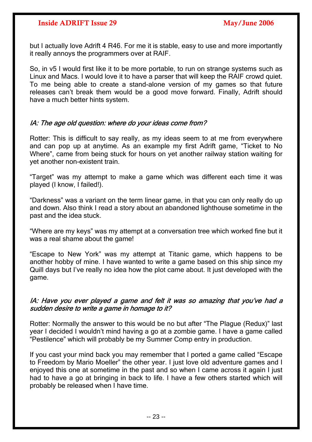but I actually love Adrift 4 R46. For me it is stable, easy to use and more importantly it really annoys the programmers over at RAIF.

So, in v5 I would first like it to be more portable, to run on strange systems such as Linux and Macs. I would love it to have a parser that will keep the RAIF crowd quiet. To me being able to create a stand-alone version of my games so that future releases can't break them would be a good move forward. Finally, Adrift should have a much better hints system.

### IA: The age old question: where do your ideas come from?

Rotter: This is difficult to say really, as my ideas seem to at me from everywhere and can pop up at anytime. As an example my first Adrift game, "Ticket to No Where", came from being stuck for hours on yet another railway station waiting for yet another non-existent train.

"Target" was my attempt to make a game which was different each time it was played (I know, I failed!).

"Darkness" was a variant on the term linear game, in that you can only really do up and down. Also think I read a story about an abandoned lighthouse sometime in the past and the idea stuck.

"Where are my keys" was my attempt at a conversation tree which worked fine but it was a real shame about the game!

"Escape to New York" was my attempt at Titanic game, which happens to be another hobby of mine. I have wanted to write a game based on this ship since my Quill days but I've really no idea how the plot came about. It just developed with the game.

## IA: Have you ever played a game and felt it was so amazing that you've had a sudden desire to write a game in homage to it?

Rotter: Normally the answer to this would be no but after "The Plague (Redux)" last year I decided I wouldn't mind having a go at a zombie game. I have a game called "Pestilence" which will probably be my Summer Comp entry in production.

If you cast your mind back you may remember that I ported a game called "Escape to Freedom by Mario Moeller" the other year. I just love old adventure games and I enjoyed this one at sometime in the past and so when I came across it again I just had to have a go at bringing in back to life. I have a few others started which will probably be released when I have time.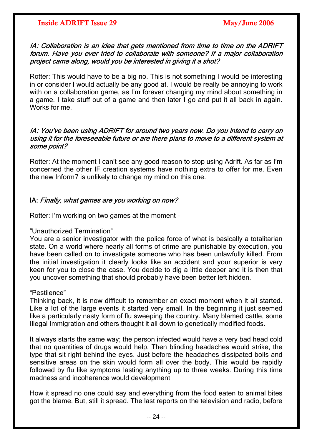### IA: Collaboration is an idea that gets mentioned from time to time on the ADRIFT forum. Have you ever tried to collaborate with someone? If a major collaboration project came along, would you be interested in giving it a shot?

Rotter: This would have to be a big no. This is not something I would be interesting in or consider I would actually be any good at. I would be really be annoying to work with on a collaboration game, as I'm forever changing my mind about something in a game. I take stuff out of a game and then later I go and put it all back in again. Works for me.

### using it for the foreseeable future or are there plans to move to a different system at IA: You've been using ADRIFT for around two years now. Do you intend to carry on some point?

Rotter: At the moment I can't see any good reason to stop using Adrift. As far as I'm concerned the other IF creation systems have nothing extra to offer for me. Even the new Inform7 is unlikely to change my mind on this one.

## IA: Finally, what games are you working on now?

Rotter: I'm working on two games at the moment -

### "Unauthorized Termination"

You are a senior investigator with the police force of what is basically a totalitarian state. On a world where nearly all forms of crime are punishable by execution, you have been called on to investigate someone who has been unlawfully killed. From the initial investigation it clearly looks like an accident and your superior is very keen for you to close the case. You decide to dig a little deeper and it is then that you uncover something that should probably have been better left hidden.

### "Pestilence"

Thinking back, it is now difficult to remember an exact moment when it all started. Like a lot of the large events it started very small. In the beginning it just seemed like a particularly nasty form of flu sweeping the country. Many blamed cattle, some Illegal Immigration and others thought it all down to genetically modified foods.

It always starts the same way; the person infected would have a very bad head cold that no quantities of drugs would help. Then blinding headaches would strike, the type that sit right behind the eyes. Just before the headaches dissipated boils and sensitive areas on the skin would form all over the body. This would be rapidly followed by flu like symptoms lasting anything up to three weeks. During this time madness and incoherence would development

How it spread no one could say and everything from the food eaten to animal bites got the blame. But, still it spread. The last reports on the television and radio, before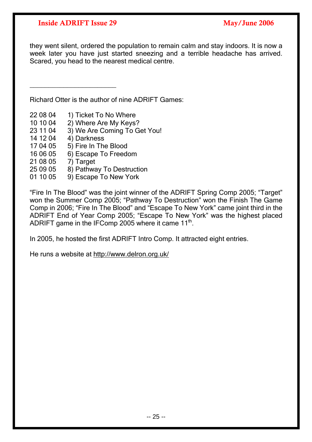they went silent, ordered the population to remain calm and stay indoors. It is now a week later you have just started sneezing and a terrible headache has arrived. Scared, you head to the nearest medical centre.

Richard Otter is the author of nine ADRIFT Games:

22 08 04 1) Ticket To No Where

 $\frac{1}{2}$  ,  $\frac{1}{2}$  ,  $\frac{1}{2}$  ,  $\frac{1}{2}$  ,  $\frac{1}{2}$  ,  $\frac{1}{2}$  ,  $\frac{1}{2}$  ,  $\frac{1}{2}$  ,  $\frac{1}{2}$  ,  $\frac{1}{2}$  ,  $\frac{1}{2}$  ,  $\frac{1}{2}$  ,  $\frac{1}{2}$  ,  $\frac{1}{2}$  ,  $\frac{1}{2}$  ,  $\frac{1}{2}$  ,  $\frac{1}{2}$  ,  $\frac{1}{2}$  ,  $\frac{1$ 

- 10 10 04 2) Where Are My Keys?
- 23 11 04 3) We Are Coming To Get You!
- 14 12 04 4) Darkness
- 17 04 05 5) Fire In The Blood
- 16 06 05 6) Escape To Freedom
- 21 08 05 7) Target
- 25 09 05 8) Pathway To Destruction
- 01 10 05 9) Escape To New York

"Fire In The Blood" was the joint winner of the ADRIFT Spring Comp 2005; "Target" won the Summer Comp 2005; "Pathway To Destruction" won the Finish The Game Comp in 2006; "Fire In The Blood" and "Escape To New York" came joint third in the ADRIFT End of Year Comp 2005; "Escape To New York" was the highest placed ADRIFT game in the IFComp 2005 where it came  $11<sup>th</sup>$ .

In 2005, he hosted the first ADRIFT Intro Comp. It attracted eight entries.

He runs a website at<http://www.delron.org.uk/>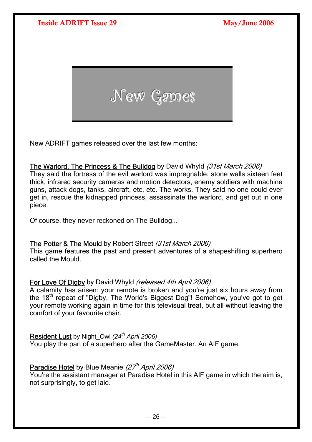<span id="page-25-0"></span>

New ADRIFT games released over the last few months:

## The Warlord, The Princess & The Bulldog by David Whyld (31st March 2006)

They said the fortress of the evil warlord was impregnable: stone walls sixteen feet thick, infrared security cameras and motion detectors, enemy soldiers with machine guns, attack dogs, tanks, aircraft, etc, etc. The works. They said no one could ever get in, rescue the kidnapped princess, assassinate the warlord, and get out in one piece.

Of course, they never reckoned on The Bulldog...

## The Potter & The Mould by Robert Street (31st March 2006)

This game features the past and present adventures of a shapeshifting superhero called the Mould.

## For Love Of Digby by David Whyld (released 4th April 2006)

A calamity has arisen: your remote is broken and you're just six hours away from the 18th repeat of "Digby, The World's Biggest Dog"! Somehow, you've got to get your remote working again in time for this televisual treat, but all without leaving the comfort of your favourite chair.

## Resident Lust by Night, Owl *(24<sup>th</sup> April 2006)*

You play the part of a superhero after the GameMaster. An AIF game.

## Paradise Hotel by Blue Meanie  $(27<sup>th</sup>$  April 2006)

You're the assistant manager at Paradise Hotel in this AIF game in which the aim is, not surprisingly, to get laid.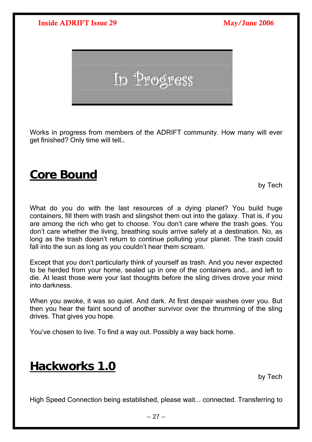<span id="page-26-0"></span>

Works in progress from members of the ADRIFT community. How many will ever get finished? Only time will tell…

## **Core Bound**

by Tech

What do you do with the last resources of a dying planet? You build huge containers, fill them with trash and slingshot them out into the galaxy. That is, if you are among the rich who get to choose. You don't care where the trash goes. You don't care whether the living, breathing souls arrive safely at a destination. No, as long as the trash doesn't return to continue polluting your planet. The trash could fall into the sun as long as you couldn't hear them scream.

Except that you don't particularly think of yourself as trash. And you never expected to be herded from your home, sealed up in one of the containers and… and left to die. At least those were your last thoughts before the sling drives drove your mind into darkness.

When you awoke, it was so quiet. And dark. At first despair washes over you. But then you hear the faint sound of another survivor over the thrumming of the sling drives. That gives you hope.

You've chosen to live. To find a way out. Possibly a way back home.

## **Hackworks 1.0**

by Tech

High Speed Connection being established, please wait... connected. Transferring to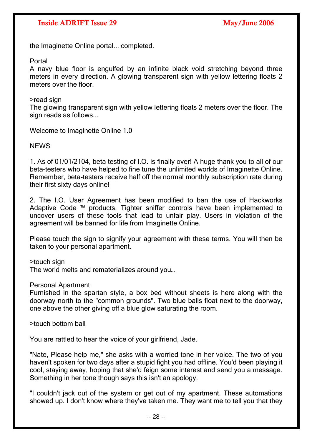the Imaginette Online portal... completed.

Portal

A navy blue floor is engulfed by an infinite black void stretching beyond three meters in every direction. A glowing transparent sign with yellow lettering floats 2 meters over the floor

>read sign

The glowing transparent sign with yellow lettering floats 2 meters over the floor. The sign reads as follows...

Welcome to Imaginette Online 1.0

NEWS

1. As of 01/01/2104, beta testing of I.O. is finally over! A huge thank you to all of our beta-testers who have helped to fine tune the unlimited worlds of Imaginette Online. Remember, beta-testers receive half off the normal monthly subscription rate during their first sixty days online!

2. The I.O. User Agreement has been modified to ban the use of Hackworks Adaptive Code ™ products. Tighter sniffer controls have been implemented to uncover users of these tools that lead to unfair play. Users in violation of the agreement will be banned for life from Imaginette Online.

Please touch the sign to signify your agreement with these terms. You will then be taken to your personal apartment.

>touch sign

The world melts and rematerializes around you…

Personal Apartment

Furnished in the spartan style, a box bed without sheets is here along with the doorway north to the "common grounds". Two blue balls float next to the doorway, one above the other giving off a blue glow saturating the room.

>touch bottom ball

You are rattled to hear the voice of your girlfriend, Jade.

"Nate, Please help me," she asks with a worried tone in her voice. The two of you haven't spoken for two days after a stupid fight you had offline. You'd been playing it cool, staying away, hoping that she'd feign some interest and send you a message. Something in her tone though says this isn't an apology.

"I couldn't jack out of the system or get out of my apartment. These automations showed up. I don't know where they've taken me. They want me to tell you that they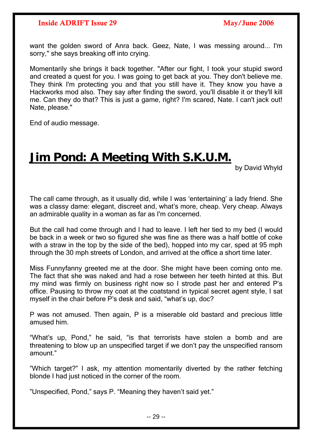<span id="page-28-0"></span>want the golden sword of Anra back. Geez, Nate, I was messing around... I'm sorry," she says breaking off into crying.

Momentarily she brings it back together. "After our fight, I took your stupid sword and created a quest for you. I was going to get back at you. They don't believe me. They think I'm protecting you and that you still have it. They know you have a Hackworks mod also. They say after finding the sword, you'll disable it or they'll kill me. Can they do that? This is just a game, right? I'm scared, Nate. I can't jack out! Nate, please."

End of audio message.

## **Jim Pond: A Meeting With S.K.U.M.**

by David Whyld

The call came through, as it usually did, while I was 'entertaining' a lady friend. She was a classy dame: elegant, discreet and, what's more, cheap. Very cheap. Always an admirable quality in a woman as far as I'm concerned.

But the call had come through and I had to leave. I left her tied to my bed (I would be back in a week or two so figured she was fine as there was a half bottle of coke with a straw in the top by the side of the bed), hopped into my car, sped at 95 mph through the 30 mph streets of London, and arrived at the office a short time later.

Miss Funnyfanny greeted me at the door. She might have been coming onto me. The fact that she was naked and had a rose between her teeth hinted at this. But my mind was firmly on business right now so I strode past her and entered P's office. Pausing to throw my coat at the coatstand in typical secret agent style, I sat myself in the chair before P's desk and said, "what's up, doc?

P was not amused. Then again, P is a miserable old bastard and precious little amused him.

"What's up, Pond," he said, "is that terrorists have stolen a bomb and are threatening to blow up an unspecified target if we don't pay the unspecified ransom amount."

"Which target?" I ask, my attention momentarily diverted by the rather fetching blonde I had just noticed in the corner of the room.

"Unspecified, Pond," says P. "Meaning they haven't said yet."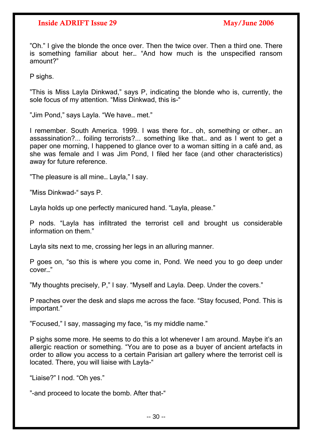"Oh." I give the blonde the once over. Then the twice over. Then a third one. There is something familiar about her… "And how much is the unspecified ransom amount?"

P sighs.

"This is Miss Layla Dinkwad," says P, indicating the blonde who is, currently, the sole focus of my attention. "Miss Dinkwad, this is-"

"Jim Pond," says Layla. "We have… met."

I remember. South America. 1999. I was there for… oh, something or other… an assassination?... foiling terrorists?... something like that… and as I went to get a paper one morning, I happened to glance over to a woman sitting in a café and, as she was female and I was Jim Pond, I filed her face (and other characteristics) away for future reference.

"The pleasure is all mine… Layla," I say.

"Miss Dinkwad-" says P.

Layla holds up one perfectly manicured hand. "Layla, please."

P nods. "Layla has infiltrated the terrorist cell and brought us considerable information on them."

Layla sits next to me, crossing her legs in an alluring manner.

P goes on, "so this is where you come in, Pond. We need you to go deep under cover…"

"My thoughts precisely, P," I say. "Myself and Layla. Deep. Under the covers."

P reaches over the desk and slaps me across the face. "Stay focused, Pond. This is important."

"Focused," I say, massaging my face, "is my middle name."

P sighs some more. He seems to do this a lot whenever I am around. Maybe it's an allergic reaction or something. "You are to pose as a buyer of ancient artefacts in order to allow you access to a certain Parisian art gallery where the terrorist cell is located. There, you will liaise with Layla-"

"Liaise?" I nod. "Oh yes."

"-and proceed to locate the bomb. After that-"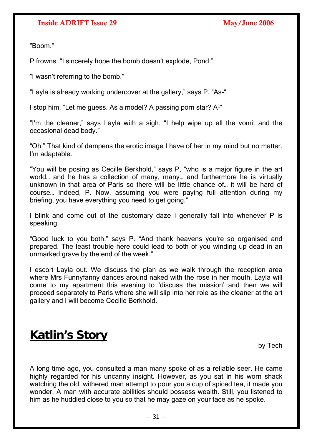"Boom."

P frowns. "I sincerely hope the bomb doesn't explode, Pond."

"I wasn't referring to the bomb."

"Layla is already working undercover at the gallery," says P. "As-"

I stop him. "Let me guess. As a model? A passing porn star? A-"

"I'm the cleaner," says Layla with a sigh. "I help wipe up all the vomit and the occasional dead body."

"Oh." That kind of dampens the erotic image I have of her in my mind but no matter. I'm adaptable.

"You will be posing as Cecille Berkhold," says P, "who is a major figure in the art world… and he has a collection of many, many… and furthermore he is virtually unknown in that area of Paris so there will be little chance of… it will be hard of course… Indeed, P. Now, assuming you were paying full attention during my briefing, you have everything you need to get going."

I blink and come out of the customary daze I generally fall into whenever P is speaking.

"Good luck to you both," says P. "And thank heavens you're so organised and prepared. The least trouble here could lead to both of you winding up dead in an unmarked grave by the end of the week."

I escort Layla out. We discuss the plan as we walk through the reception area where Mrs Funnyfanny dances around naked with the rose in her mouth. Layla will come to my apartment this evening to 'discuss the mission' and then we will proceed separately to Paris where she will slip into her role as the cleaner at the art gallery and I will become Cecille Berkhold.

## **Katlin's Story**

by Tech

A long time ago, you consulted a man many spoke of as a reliable seer. He came highly regarded for his uncanny insight. However, as you sat in his worn shack watching the old, withered man attempt to pour you a cup of spiced tea, it made you wonder. A man with accurate abilities should possess wealth. Still, you listened to him as he huddled close to you so that he may gaze on your face as he spoke.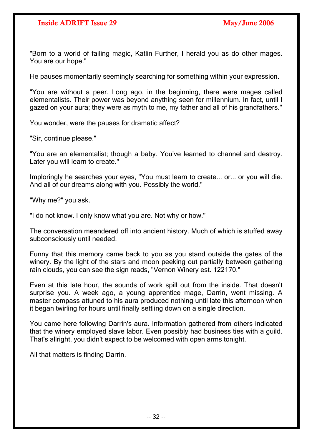"Born to a world of failing magic, Katlin Further, I herald you as do other mages. You are our hope."

He pauses momentarily seemingly searching for something within your expression.

"You are without a peer. Long ago, in the beginning, there were mages called elementalists. Their power was beyond anything seen for millennium. In fact, until I gazed on your aura; they were as myth to me, my father and all of his grandfathers."

You wonder, were the pauses for dramatic affect?

"Sir, continue please."

"You are an elementalist; though a baby. You've learned to channel and destroy. Later you will learn to create."

Imploringly he searches your eyes, "You must learn to create... or... or you will die. And all of our dreams along with you. Possibly the world."

"Why me?" you ask.

"I do not know. I only know what you are. Not why or how."

The conversation meandered off into ancient history. Much of which is stuffed away subconsciously until needed.

Funny that this memory came back to you as you stand outside the gates of the winery. By the light of the stars and moon peeking out partially between gathering rain clouds, you can see the sign reads, "Vernon Winery est. 122170."

Even at this late hour, the sounds of work spill out from the inside. That doesn't surprise you. A week ago, a young apprentice mage, Darrin, went missing. A master compass attuned to his aura produced nothing until late this afternoon when it began twirling for hours until finally settling down on a single direction.

You came here following Darrin's aura. Information gathered from others indicated that the winery employed slave labor. Even possibly had business ties with a guild. That's allright, you didn't expect to be welcomed with open arms tonight.

All that matters is finding Darrin.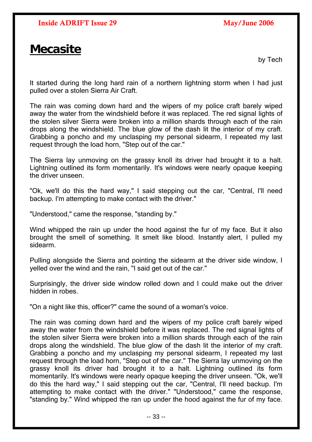## <span id="page-32-0"></span>**Mecasite**

by Tech

It started during the long hard rain of a northern lightning storm when I had just pulled over a stolen Sierra Air Craft.

The rain was coming down hard and the wipers of my police craft barely wiped away the water from the windshield before it was replaced. The red signal lights of the stolen silver Sierra were broken into a million shards through each of the rain drops along the windshield. The blue glow of the dash lit the interior of my craft. Grabbing a poncho and my unclasping my personal sidearm, I repeated my last request through the load horn, "Step out of the car."

The Sierra lay unmoving on the grassy knoll its driver had brought it to a halt. Lightning outlined its form momentarily. It's windows were nearly opaque keeping the driver unseen.

"Ok, we'll do this the hard way," I said stepping out the car, "Central, I'll need backup. I'm attempting to make contact with the driver."

"Understood," came the response, "standing by."

Wind whipped the rain up under the hood against the fur of my face. But it also brought the smell of something. It smelt like blood. Instantly alert, I pulled my sidearm.

Pulling alongside the Sierra and pointing the sidearm at the driver side window, I yelled over the wind and the rain, "I said get out of the car."

Surprisingly, the driver side window rolled down and I could make out the driver hidden in robes.

"On a night like this, officer?" came the sound of a woman's voice.

The rain was coming down hard and the wipers of my police craft barely wiped away the water from the windshield before it was replaced. The red signal lights of the stolen silver Sierra were broken into a million shards through each of the rain drops along the windshield. The blue glow of the dash lit the interior of my craft. Grabbing a poncho and my unclasping my personal sidearm, I repeated my last request through the load horn, "Step out of the car." The Sierra lay unmoving on the grassy knoll its driver had brought it to a halt. Lightning outlined its form momentarily. It's windows were nearly opaque keeping the driver unseen. "Ok, we'll do this the hard way," I said stepping out the car, "Central, I'll need backup. I'm attempting to make contact with the driver." "Understood," came the response, "standing by." Wind whipped the ran up under the hood against the fur of my face.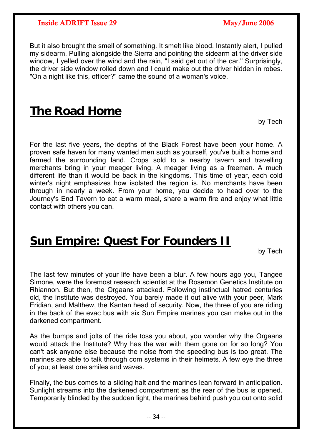<span id="page-33-0"></span>But it also brought the smell of something. It smelt like blood. Instantly alert, I pulled my sidearm. Pulling alongside the Sierra and pointing the sidearm at the driver side window. I velled over the wind and the rain. "I said get out of the car." Surprisingly, the driver side window rolled down and I could make out the driver hidden in robes. "On a night like this, officer?" came the sound of a woman's voice.

## **The Road Home**

by Tech

For the last five years, the depths of the Black Forest have been your home. A proven safe haven for many wanted men such as yourself, you've built a home and farmed the surrounding land. Crops sold to a nearby tavern and travelling merchants bring in your meager living. A meager living as a freeman. A much different life than it would be back in the kingdoms. This time of year, each cold winter's night emphasizes how isolated the region is. No merchants have been through in nearly a week. From your home, you decide to head over to the Journey's End Tavern to eat a warm meal, share a warm fire and enjoy what little contact with others you can.

## **Sun Empire: Quest For Founders II**

by Tech

The last few minutes of your life have been a blur. A few hours ago you, Tangee Simone, were the foremost research scientist at the Rosemon Genetics Institute on Rhiannon. But then, the Orgaans attacked. Following instinctual hatred centuries old, the Institute was destroyed. You barely made it out alive with your peer, Mark Eridian, and Malthew, the Kantan head of security. Now, the three of you are riding in the back of the evac bus with six Sun Empire marines you can make out in the darkened compartment.

As the bumps and jolts of the ride toss you about, you wonder why the Orgaans would attack the Institute? Why has the war with them gone on for so long? You can't ask anyone else because the noise from the speeding bus is too great. The marines are able to talk through com systems in their helmets. A few eye the three of you; at least one smiles and waves.

Finally, the bus comes to a sliding halt and the marines lean forward in anticipation. Sunlight streams into the darkened compartment as the rear of the bus is opened. Temporarily blinded by the sudden light, the marines behind push you out onto solid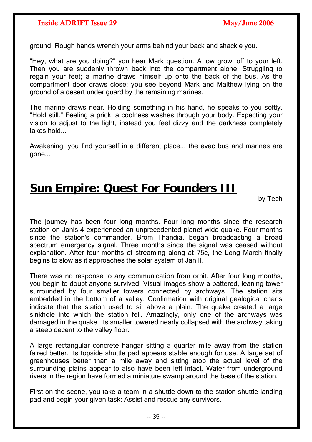<span id="page-34-0"></span>ground. Rough hands wrench your arms behind your back and shackle you.

"Hey, what are you doing?" you hear Mark question. A low growl off to your left. Then you are suddenly thrown back into the compartment alone. Struggling to regain your feet; a marine draws himself up onto the back of the bus. As the compartment door draws close; you see beyond Mark and Malthew lying on the ground of a desert under guard by the remaining marines.

The marine draws near. Holding something in his hand, he speaks to you softly, "Hold still." Feeling a prick, a coolness washes through your body. Expecting your vision to adjust to the light, instead you feel dizzy and the darkness completely takes hold...

Awakening, you find yourself in a different place... the evac bus and marines are gone...

## **Sun Empire: Quest For Founders III**

by Tech

The journey has been four long months. Four long months since the research station on Janis 4 experienced an unprecedented planet wide quake. Four months since the station's commander, Brom Thandia, began broadcasting a broad spectrum emergency signal. Three months since the signal was ceased without explanation. After four months of streaming along at 75c, the Long March finally begins to slow as it approaches the solar system of Jan II.

There was no response to any communication from orbit. After four long months, you begin to doubt anyone survived. Visual images show a battered, leaning tower surrounded by four smaller towers connected by archways. The station sits embedded in the bottom of a valley. Confirmation with original gealogical charts indicate that the station used to sit above a plain. The quake created a large sinkhole into which the station fell. Amazingly, only one of the archways was damaged in the quake. Its smaller towered nearly collapsed with the archway taking a steep decent to the valley floor.

A large rectangular concrete hangar sitting a quarter mile away from the station faired better. Its topside shuttle pad appears stable enough for use. A large set of greenhouses better than a mile away and sitting atop the actual level of the surrounding plains appear to also have been left intact. Water from underground rivers in the region have formed a miniature swamp around the base of the station.

First on the scene, you take a team in a shuttle down to the station shuttle landing pad and begin your given task: Assist and rescue any survivors.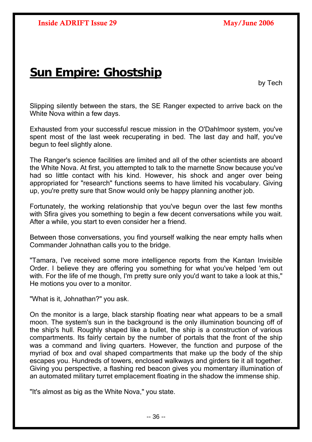## <span id="page-35-0"></span>**Sun Empire: Ghostship**

by Tech

Slipping silently between the stars, the SE Ranger expected to arrive back on the White Nova within a few days.

Exhausted from your successful rescue mission in the O'Dahlmoor system, you've spent most of the last week recuperating in bed. The last day and half, you've begun to feel slightly alone.

The Ranger's science facilities are limited and all of the other scientists are aboard the White Nova. At first, you attempted to talk to the marnette Snow because you've had so little contact with his kind. However, his shock and anger over being appropriated for "research" functions seems to have limited his vocabulary. Giving up, you're pretty sure that Snow would only be happy planning another job.

Fortunately, the working relationship that you've begun over the last few months with Sfira gives you something to begin a few decent conversations while you wait. After a while, you start to even consider her a friend.

Between those conversations, you find yourself walking the near empty halls when Commander Johnathan calls you to the bridge.

"Tamara, I've received some more intelligence reports from the Kantan Invisible Order. I believe they are offering you something for what you've helped 'em out with. For the life of me though, I'm pretty sure only you'd want to take a look at this," He motions you over to a monitor.

"What is it, Johnathan?" you ask.

On the monitor is a large, black starship floating near what appears to be a small moon. The system's sun in the background is the only illumination bouncing off of the ship's hull. Roughly shaped like a bullet, the ship is a construction of various compartments. Its fairly certain by the number of portals that the front of the ship was a command and living quarters. However, the function and purpose of the myriad of box and oval shaped compartments that make up the body of the ship escapes you. Hundreds of towers, enclosed walkways and girders tie it all together. Giving you perspective, a flashing red beacon gives you momentary illumination of an automated military turret emplacement floating in the shadow the immense ship.

"It's almost as big as the White Nova," you state.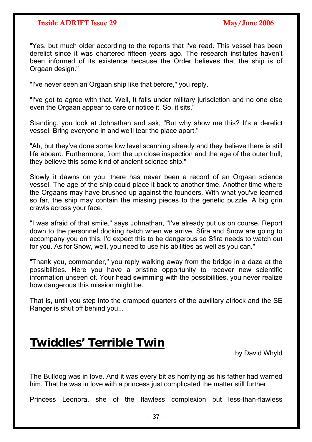"Yes, but much older according to the reports that I've read. This vessel has been derelict since it was chartered fifteen years ago. The research institutes haven't been informed of its existence because the Order believes that the ship is of Orgaan design."

"I've never seen an Orgaan ship like that before," you reply.

"I've got to agree with that. Well, It falls under military jurisdiction and no one else even the Orgaan appear to care or notice it. So, it sits."

Standing, you look at Johnathan and ask, "But why show me this? It's a derelict vessel. Bring everyone in and we'll tear the place apart."

"Ah, but they've done some low level scanning already and they believe there is still life aboard. Furthermore, from the up close inspection and the age of the outer hull, they believe this some kind of ancient science ship."

Slowly it dawns on you, there has never been a record of an Orgaan science vessel. The age of the ship could place it back to another time. Another time where the Orgaans may have brushed up against the founders. With what you've learned so far, the ship may contain the missing pieces to the genetic puzzle. A big grin crawls across your face.

"I was afraid of that smile," says Johnathan, "I've already put us on course. Report down to the personnel docking hatch when we arrive. Sfira and Snow are going to accompany you on this. I'd expect this to be dangerous so Sfira needs to watch out for you. As for Snow, well, you need to use his abilities as well as you can."

"Thank you, commander," you reply walking away from the bridge in a daze at the possibilities. Here you have a pristine opportunity to recover new scientific information unseen of. Your head swimming with the possibilities, you never realize how dangerous this mission might be.

That is, until you step into the cramped quarters of the auxillary airlock and the SE Ranger is shut off behind you...

## **Twiddles' Terrible Twin**

by David Whyld

The Bulldog was in love. And it was every bit as horrifying as his father had warned him. That he was in love with a princess just complicated the matter still further.

Princess Leonora, she of the flawless complexion but less-than-flawless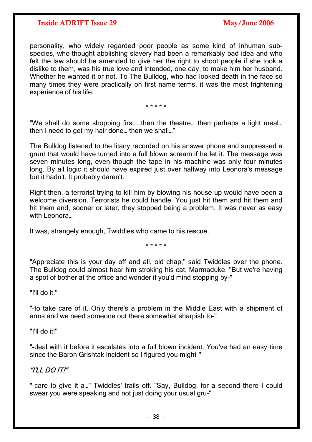personality, who widely regarded poor people as some kind of inhuman subspecies, who thought abolishing slavery had been a remarkably bad idea and who felt the law should be amended to give her the right to shoot people if she took a dislike to them, was his true love and intended, one day, to make him her husband. Whether he wanted it or not. To The Bulldog, who had looked death in the face so many times they were practically on first name terms, it was the most frightening experience of his life.

\* \* \* \* \*

"We shall do some shopping first… then the theatre… then perhaps a light meal… then I need to get my hair done… then we shall…"

The Bulldog listened to the litany recorded on his answer phone and suppressed a grunt that would have turned into a full blown scream if he let it. The message was seven minutes long, even though the tape in his machine was only four minutes long. By all logic it should have expired just over halfway into Leonora's message but it hadn't. It probably daren't.

Right then, a terrorist trying to kill him by blowing his house up would have been a welcome diversion. Terrorists he could handle. You just hit them and hit them and hit them and, sooner or later, they stopped being a problem. It was never as easy with Leonora…

It was, strangely enough, Twiddles who came to his rescue.

\* \* \* \* \*

"Appreciate this is your day off and all, old chap," said Twiddles over the phone. The Bulldog could almost hear him stroking his cat, Marmaduke. "But we're having a spot of bother at the office and wonder if you'd mind stopping by-"

"I'll do it."

"-to take care of it. Only there's a problem in the Middle East with a shipment of arms and we need someone out there somewhat sharpish to-"

"I'll do it!"

"-deal with it before it escalates into a full blown incident. You've had an easy time since the Baron Grishtak incident so I figured you might-"

## "I'LL DO IT!"

"-care to give it a…" Twiddles' trails off. "Say, Bulldog, for a second there I could swear you were speaking and not just doing your usual gru-"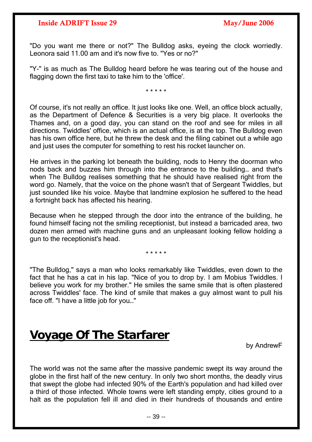<span id="page-38-0"></span>"Do you want me there or not?" The Bulldog asks, eyeing the clock worriedly. Leonora said 11.00 am and it's now five to. "Yes or no?"

"Y-" is as much as The Bulldog heard before he was tearing out of the house and flagging down the first taxi to take him to the 'office'.

\* \* \* \* \*

Of course, it's not really an office. It just looks like one. Well, an office block actually, as the Department of Defence & Securities is a very big place. It overlooks the Thames and, on a good day, you can stand on the roof and see for miles in all directions. Twiddles' office, which is an actual office, is at the top. The Bulldog even has his own office here, but he threw the desk and the filing cabinet out a while ago and just uses the computer for something to rest his rocket launcher on.

He arrives in the parking lot beneath the building, nods to Henry the doorman who nods back and buzzes him through into the entrance to the building… and that's when The Bulldog realises something that he should have realised right from the word go. Namely, that the voice on the phone wasn't that of Sergeant Twiddles, but just sounded like his voice. Maybe that landmine explosion he suffered to the head a fortnight back has affected his hearing.

Because when he stepped through the door into the entrance of the building, he found himself facing not the smiling receptionist, but instead a barricaded area, two dozen men armed with machine guns and an unpleasant looking fellow holding a gun to the receptionist's head.

\* \* \* \* \*

"The Bulldog," says a man who looks remarkably like Twiddles, even down to the fact that he has a cat in his lap. "Nice of you to drop by. I am Mobius Twiddles. I believe you work for my brother." He smiles the same smile that is often plastered across Twiddles' face. The kind of smile that makes a guy almost want to pull his face off. "I have a little job for you…"

## **Voyage Of The Starfarer**

by AndrewF

The world was not the same after the massive pandemic swept its way around the globe in the first half of the new century. In only two short months, the deadly virus that swept the globe had infected 90% of the Earth's population and had killed over a third of those infected. Whole towns were left standing empty, cities ground to a halt as the population fell ill and died in their hundreds of thousands and entire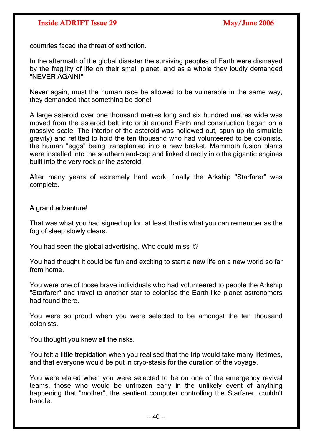countries faced the threat of extinction.

In the aftermath of the global disaster the surviving peoples of Earth were dismayed by the fragility of life on their small planet, and as a whole they loudly demanded "NEVER AGAIN!"

Never again, must the human race be allowed to be vulnerable in the same way, they demanded that something be done!

A large asteroid over one thousand metres long and six hundred metres wide was moved from the asteroid belt into orbit around Earth and construction began on a massive scale. The interior of the asteroid was hollowed out, spun up (to simulate gravity) and refitted to hold the ten thousand who had volunteered to be colonists, the human "eggs" being transplanted into a new basket. Mammoth fusion plants were installed into the southern end-cap and linked directly into the gigantic engines built into the very rock or the asteroid.

After many years of extremely hard work, finally the Arkship "Starfarer" was complete.

## A grand adventure!

That was what you had signed up for; at least that is what you can remember as the fog of sleep slowly clears.

You had seen the global advertising. Who could miss it?

You had thought it could be fun and exciting to start a new life on a new world so far from home.

You were one of those brave individuals who had volunteered to people the Arkship "Starfarer" and travel to another star to colonise the Earth-like planet astronomers had found there.

You were so proud when you were selected to be amongst the ten thousand colonists.

You thought you knew all the risks.

You felt a little trepidation when you realised that the trip would take many lifetimes, and that everyone would be put in cryo-stasis for the duration of the voyage.

You were elated when you were selected to be on one of the emergency revival teams, those who would be unfrozen early in the unlikely event of anything happening that "mother", the sentient computer controlling the Starfarer, couldn't handle.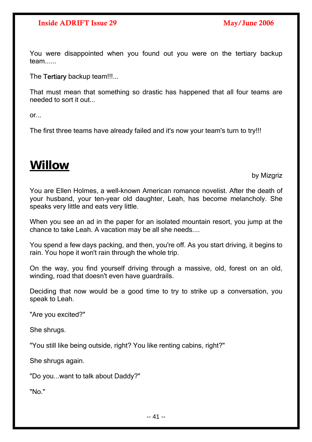<span id="page-40-0"></span>You were disappointed when you found out you were on the tertiary backup team.

The Tertiary backup team!!!...

That must mean that something so drastic has happened that all four teams are needed to sort it out...

 $or...$ 

The first three teams have already failed and it's now your team's turn to try!!!

## **Willow**

by Mizgriz

You are Ellen Holmes, a well-known American romance novelist. After the death of your husband, your ten-year old daughter, Leah, has become melancholy. She speaks very little and eats very little.

When you see an ad in the paper for an isolated mountain resort, you jump at the chance to take Leah. A vacation may be all she needs....

You spend a few days packing, and then, you're off. As you start driving, it begins to rain. You hope it won't rain through the whole trip.

On the way, you find yourself driving through a massive, old, forest on an old, winding, road that doesn't even have guardrails.

Deciding that now would be a good time to try to strike up a conversation, you speak to Leah.

"Are you excited?"

She shrugs.

"You still like being outside, right? You like renting cabins, right?"

She shrugs again.

"Do you...want to talk about Daddy?"

"No."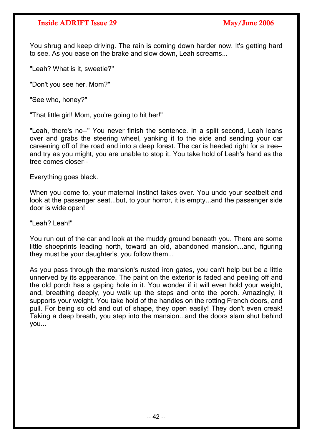You shrug and keep driving. The rain is coming down harder now. It's getting hard to see. As you ease on the brake and slow down, Leah screams...

"Leah? What is it, sweetie?"

"Don't you see her, Mom?"

"See who, honey?"

"That little girl! Mom, you're going to hit her!"

"Leah, there's no--" You never finish the sentence. In a split second, Leah leans over and grabs the steering wheel, yanking it to the side and sending your car careening off of the road and into a deep forest. The car is headed right for a tree- and try as you might, you are unable to stop it. You take hold of Leah's hand as the tree comes closer--

Everything goes black.

When you come to, your maternal instinct takes over. You undo your seatbelt and look at the passenger seat...but, to your horror, it is empty...and the passenger side door is wide open!

"Leah? Leah!"

You run out of the car and look at the muddy ground beneath you. There are some little shoeprints leading north, toward an old, abandoned mansion...and, figuring they must be your daughter's, you follow them...

As you pass through the mansion's rusted iron gates, you can't help but be a little unnerved by its appearance. The paint on the exterior is faded and peeling off and the old porch has a gaping hole in it. You wonder if it will even hold your weight, and, breathing deeply, you walk up the steps and onto the porch. Amazingly, it supports your weight. You take hold of the handles on the rotting French doors, and pull. For being so old and out of shape, they open easily! They don't even creak! Taking a deep breath, you step into the mansion...and the doors slam shut behind you...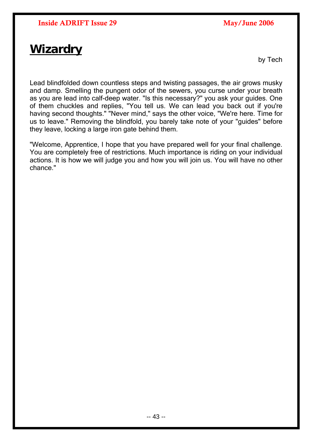## <span id="page-42-0"></span>**Wizardry**

by Tech

Lead blindfolded down countless steps and twisting passages, the air grows musky and damp. Smelling the pungent odor of the sewers, you curse under your breath as you are lead into calf-deep water. "Is this necessary?" you ask your guides. One of them chuckles and replies, "You tell us. We can lead you back out if you're having second thoughts." "Never mind," says the other voice, "We're here. Time for us to leave." Removing the blindfold, you barely take note of your "guides" before they leave, locking a large iron gate behind them.

"Welcome, Apprentice, I hope that you have prepared well for your final challenge. You are completely free of restrictions. Much importance is riding on your individual actions. It is how we will judge you and how you will join us. You will have no other chance."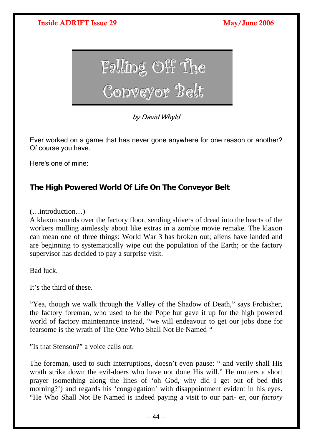<span id="page-43-0"></span>

by David Whyld

Ever worked on a game that has never gone anywhere for one reason or another? Of course you have.

Here's one of mine:

## **The High Powered World Of Life On The Conveyor Belt**

(…introduction…)

A klaxon sounds over the factory floor, sending shivers of dread into the hearts of the workers mulling aimlessly about like extras in a zombie movie remake. The klaxon can mean one of three things: World War 3 has broken out; aliens have landed and are beginning to systematically wipe out the population of the Earth; or the factory supervisor has decided to pay a surprise visit.

Bad luck.

It's the third of these.

"Yea, though we walk through the Valley of the Shadow of Death," says Frobisher, the factory foreman, who used to be the Pope but gave it up for the high powered world of factory maintenance instead, "we will endeavour to get our jobs done for fearsome is the wrath of The One Who Shall Not Be Named-"

"Is that Stenson?" a voice calls out.

The foreman, used to such interruptions, doesn't even pause: "-and verily shall His wrath strike down the evil-doers who have not done His will." He mutters a short prayer (something along the lines of 'oh God, why did I get out of bed this morning?') and regards his 'congregation' with disappointment evident in his eyes. "He Who Shall Not Be Named is indeed paying a visit to our pari- er, our *factory*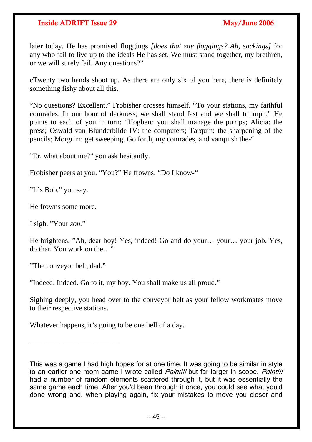later today. He has promised floggings *[does that say floggings? Ah, sackings]* for any who fail to live up to the ideals He has set. We must stand together, my brethren, or we will surely fail. Any questions?"

cTwenty two hands shoot up. As there are only six of you here, there is definitely something fishy about all this.

"No questions? Excellent." Frobisher crosses himself. "To your stations, my faithful comrades. In our hour of darkness, we shall stand fast and we shall triumph." He points to each of you in turn: "Hogbert: you shall manage the pumps; Alicia: the press; Oswald van Blunderbilde IV: the computers; Tarquin: the sharpening of the pencils; Morgrim: get sweeping. Go forth, my comrades, and vanquish the-"

"Er, what about me?" you ask hesitantly.

Frobisher peers at you. "You?" He frowns. "Do I know-"

"It's Bob," you say.

He frowns some more.

I sigh. "Your *son.*"

He brightens. "Ah, dear boy! Yes, indeed! Go and do your… your… your job. Yes, do that. You work on the…"

"The conveyor belt, dad."

 $\frac{1}{2}$  ,  $\frac{1}{2}$  ,  $\frac{1}{2}$  ,  $\frac{1}{2}$  ,  $\frac{1}{2}$  ,  $\frac{1}{2}$  ,  $\frac{1}{2}$  ,  $\frac{1}{2}$  ,  $\frac{1}{2}$  ,  $\frac{1}{2}$  ,  $\frac{1}{2}$  ,  $\frac{1}{2}$  ,  $\frac{1}{2}$  ,  $\frac{1}{2}$  ,  $\frac{1}{2}$  ,  $\frac{1}{2}$  ,  $\frac{1}{2}$  ,  $\frac{1}{2}$  ,  $\frac{1$ 

"Indeed. Indeed. Go to it, my boy. You shall make us all proud."

Sighing deeply, you head over to the conveyor belt as your fellow workmates move to their respective stations.

Whatever happens, it's going to be one hell of a day.

This was a game I had high hopes for at one time. It was going to be similar in style to an earlier one room game I wrote called *Paint!!!* but far larger in scope. *Paint!!!* had a number of random elements scattered through it, but it was essentially the same game each time. After you'd been through it once, you could see what you'd done wrong and, when playing again, fix your mistakes to move you closer and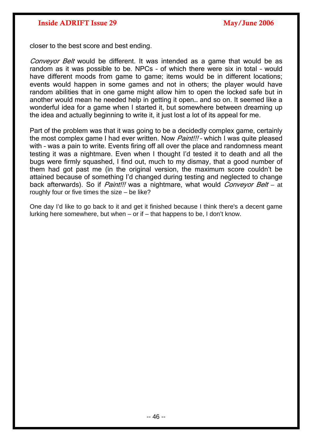closer to the best score and best ending.

Convevor Belt would be different. It was intended as a game that would be as random as it was possible to be. NPCs – of which there were six in total – would have different moods from game to game; items would be in different locations; events would happen in some games and not in others; the player would have random abilities that in one game might allow him to open the locked safe but in another would mean he needed help in getting it open… and so on. It seemed like a wonderful idea for a game when I started it, but somewhere between dreaming up the idea and actually beginning to write it, it just lost a lot of its appeal for me.

Part of the problem was that it was going to be a decidedly complex game, certainly the most complex game I had ever written. Now *Paint!!!* - which I was quite pleased with - was a pain to write. Events firing off all over the place and randomness meant testing it was a nightmare. Even when I thought I'd tested it to death and all the bugs were firmly squashed, I find out, much to my dismay, that a good number of them had got past me (in the original version, the maximum score couldn't be attained because of something I'd changed during testing and neglected to change back afterwards). So if *Paint!!!* was a nightmare, what would *Conveyor Belt* – at roughly four or five times the size – be like?

One day I'd like to go back to it and get it finished because I think there's a decent game lurking here somewhere, but when – or if – that happens to be, I don't know.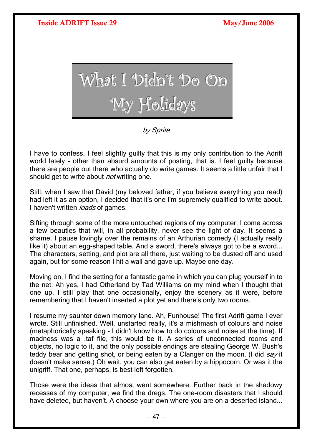<span id="page-46-0"></span>

## by Sprite

I have to confess, I feel slightly guilty that this is my only contribution to the Adrift world lately - other than absurd amounts of posting, that is. I feel guilty because there are people out there who actually do write games. It seems a little unfair that I should get to write about *not* writing one.

Still, when I saw that David (my beloved father, if you believe everything you read) had left it as an option, I decided that it's one I'm supremely qualified to write about. I haven't written *loads* of games.

Sifting through some of the more untouched regions of my computer, I come across a few beauties that will, in all probability, never see the light of day. It seems a shame. I pause lovingly over the remains of an Arthurian comedy (I actually really like it) about an egg-shaped table. And a sword, there's always got to be a sword... The characters, setting, and plot are all there, just waiting to be dusted off and used again, but for some reason I hit a wall and gave up. Maybe one day.

Moving on, I find the setting for a fantastic game in which you can plug yourself in to the net. Ah yes, I had Otherland by Tad Williams on my mind when I thought that one up. I still play that one occasionally, enjoy the scenery as it were, before remembering that I haven't inserted a plot yet and there's only two rooms.

I resume my saunter down memory lane. Ah, Funhouse! The first Adrift game I ever wrote. Still unfinished. Well, unstarted really, it's a mishmash of colours and noise (metaphorically speaking - I didn't know how to do colours and noise at the time). If madness was a .taf file, this would be it. A series of unconnected rooms and objects, no logic to it, and the only possible endings are stealing George W. Bush's teddy bear and getting shot, or being eaten by a Clanger on the moon. (I did say it doesn't make sense.) Oh wait, you can also get eaten by a hippocorn. Or was it the unigriff. That one, perhaps, is best left forgotten.

Those were the ideas that almost went somewhere. Further back in the shadowy recesses of my computer, we find the dregs. The one-room disasters that I should have deleted, but haven't. A choose-your-own where you are on a deserted island...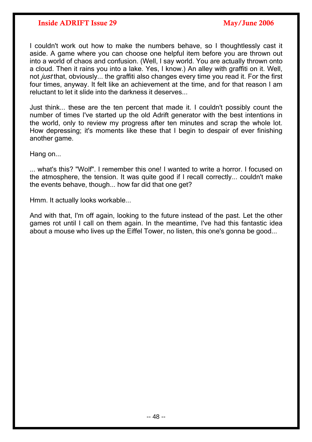I couldn't work out how to make the numbers behave, so I thoughtlessly cast it aside. A game where you can choose one helpful item before you are thrown out into a world of chaos and confusion. (Well, I say world. You are actually thrown onto a cloud. Then it rains you into a lake. Yes, I know.) An alley with graffiti on it. Well, not *just* that, obviously... the graffiti also changes every time you read it. For the first four times, anyway. It felt like an achievement at the time, and for that reason I am reluctant to let it slide into the darkness it deserves...

Just think... these are the ten percent that made it. I couldn't possibly count the number of times I've started up the old Adrift generator with the best intentions in the world, only to review my progress after ten minutes and scrap the whole lot. How depressing; it's moments like these that I begin to despair of ever finishing another game.

Hang on...

... what's this? "Wolf". I remember this one! I wanted to write a horror. I focused on the atmosphere, the tension. It was quite good if I recall correctly... couldn't make the events behave, though... how far did that one get?

Hmm. It actually looks workable...

And with that, I'm off again, looking to the future instead of the past. Let the other games rot until I call on them again. In the meantime, I've had this fantastic idea about a mouse who lives up the Eiffel Tower, no listen, this one's gonna be good...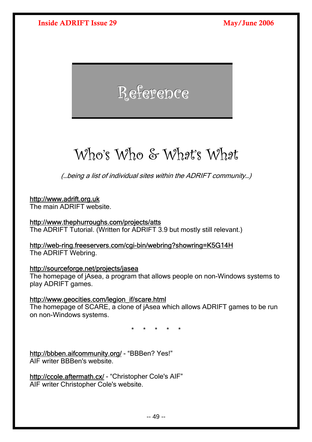# <span id="page-48-0"></span>Reference

# Who's Who & What's What

(…being a list of individual sites within the ADRIFT community…)

## [http://www.adrift.org.uk](http://www.adrift.org.uk/)

The main ADRIFT website.

## <http://www.thephurroughs.com/projects/atts>

The ADRIFT Tutorial. (Written for ADRIFT 3.9 but mostly still relevant.)

### <http://web-ring.freeservers.com/cgi-bin/webring?showring=K5G14H> The ADRIFT Webring.

## <http://sourceforge.net/projects/jasea>

The homepage of jAsea, a program that allows people on non-Windows systems to play ADRIFT games.

## [http://www.geocities.com/legion\\_if/scare.html](http://www.geocities.com/legion_if/scare.html)

The homepage of SCARE, a clone of jAsea which allows ADRIFT games to be run on non-Windows systems.

\* \* \* \* \*

<http://bbben.aifcommunity.org/>- "BBBen? Yes!" AIF writer BBBen's website.

<http://ccole.aftermath.cx/>- "Christopher Cole's AIF" AIF writer Christopher Cole's website.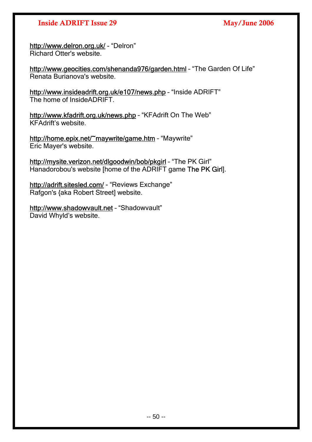<http://www.delron.org.uk/>- "Delron" Richard Otter's website.

<http://www.geocities.com/shenanda976/garden.html>– "The Garden Of Life" Renata Burianova's website.

<http://www.insideadrift.org.uk/e107/news.php>– "Inside ADRIFT" The home of InsideADRIFT.

<http://www.kfadrift.org.uk/news.php> – "KFAdrift On The Web" KFAdrift's website.

<http://home.epix.net/~maywrite/game.htm>– "Maywrite" Eric Mayer's website.

<http://mysite.verizon.net/dlgoodwin/bob/pkgirl>- "The PK Girl" Hanadorobou's website [home of the ADRIFT game The PK Girl].

<http://adrift.sitesled.com/> - "Reviews Exchange" Rafgon's {aka Robert Street] website.

[http://www.shadowvault.net](http://www.shadowvault.net/) - "Shadowvault" David Whyld's website.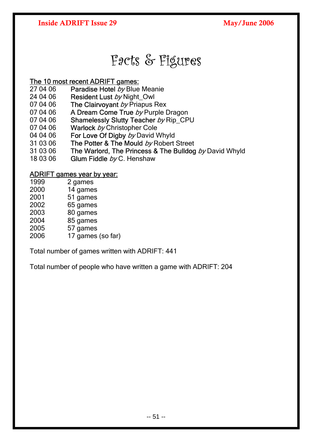## Facts & Figures

## <span id="page-50-0"></span>The 10 most recent ADRIFT games:

- 27 04 06 Paradise Hotel by Blue Meanie
- 24 04 06 Resident Lust by Night Owl
- 07 04 06 The Clairvoyant  $by$  Priapus Rex
- 07 04 06 A Dream Come True by Purple Dragon
- 07 04 06 Shamelessly Slutty Teacher by Rip\_CPU
- 07 04 06 Warlock by Christopher Cole
- 04 04 06 For Love Of Digby by David Whyld
- 31 03 06 The Potter & The Mould  $by$  Robert Street
- 31 03 06 The Warlord, The Princess & The Bulldog  $by$  David Whyld
- 18 03 06 Glum Fiddle  $bvC$ . Henshaw

## ADRIFT games year by year:

- 1999 2 games
- 2000 14 games
- 2001 51 games
- 2002 65 games
- 2003 80 games
- 2004 85 games 2005 57 games
- 2006 17 games (so far)

Total number of games written with ADRIFT: 441

Total number of people who have written a game with ADRIFT: 204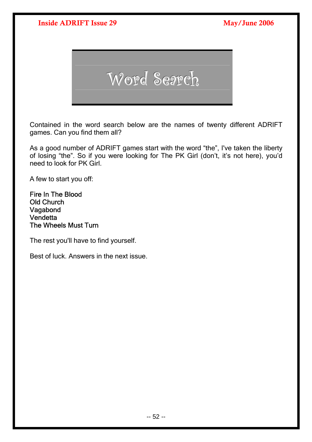

Contained in the word search below are the names of twenty different ADRIFT games. Can you find them all?

As a good number of ADRIFT games start with the word "the", I've taken the liberty of losing "the". So if you were looking for The PK Girl (don't, it's not here), you'd need to look for PK Girl.

A few to start you off:

Fire In The Blood Old Church Vagabond **Vendetta** The Wheels Must Turn

The rest you'll have to find yourself.

Best of luck. Answers in the next issue.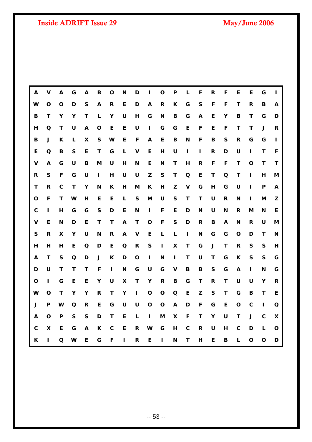| A                  | ٧            | A                         | G            | A           | B                | O            | N                | D            | L                | $\mathbf O$  | P            | L            | F            | R            | F         | Е           | E            | G            | ı            |
|--------------------|--------------|---------------------------|--------------|-------------|------------------|--------------|------------------|--------------|------------------|--------------|--------------|--------------|--------------|--------------|-----------|-------------|--------------|--------------|--------------|
| W                  | $\mathbf O$  | $\mathbf 0$               | D            | ${\sf S}$   | $\boldsymbol{A}$ | $\mathsf R$  | E                | D            | $\boldsymbol{A}$ | $\mathsf{R}$ | K            | G            | ${\sf S}$    | F            | F         | $\mathsf T$ | $\mathsf{R}$ | B            | A            |
| $\mathbf B$        | T            | Y                         | Υ            | Т           | L                | Y            | $\cup$           | H            | G                | N            | B            | G            | A            | E            | Υ         | B           | Τ            | G            | D            |
| Н                  | $\Omega$     | T                         | $\mathsf U$  | Α           | $\mathbf 0$      | E            | E                | U            | I                | G            | G            | E            | F            | E            | F         | T           | T            | J            | R            |
| B                  | $\mathsf J$  | K                         | L            | X           | $\mathsf{s}$     | W            | E                | F            | A                | E            | $\, {\bf B}$ | N            | F            | B            | ${\sf S}$ | $\mathsf R$ | G            | G            | $\mathbf{I}$ |
| E                  | $\Omega$     | B                         | $\mathsf{s}$ | E           | Τ                | G            | Г                | $\mathbf v$  | E                | H            | U            | L            | П            | $\mathsf{R}$ | D         | U           | L            | т            | F            |
| $\pmb{\mathsf{V}}$ | A            | G                         | $\mathsf U$  | B           | M                | U            | H                | N            | E                | N            | T            | H            | R            | F            | F         | T           | $\mathbf O$  | T            | T            |
| R                  | $\mathsf S$  | $\mathsf F$               | G            | $\cup$      | L                | H            | $\mathsf U$      | $\mathsf U$  | $\mathbf{Z}$     | ${\sf S}$    | $\mathsf{T}$ | $\mathbf Q$  | E            | T            | Q         | T           | $\mathbf{I}$ | H            | M            |
| T                  | R            | $\mathbf c$               | T            | Y           | N                | K            | H                | M            | K                | H            | Z            | $\mathbf V$  | G            | н            | G         | U           | L            | P            | A            |
| O                  | F            | Τ                         | W            | н           | E                | E            | L                | ${\sf S}$    | M                | U            | ${\sf S}$    | Т            | T.           | U            | R         | N           | L            | M            | Z            |
| $\mathbf C$        | ı            | H                         | G            | G           | ${\sf S}$        | D            | E                | N            | L                | F            | E            | D            | N            | U            | N         | R           | M            | N            | E            |
| $\mathbf v$        | E            | N                         | D            | E           | T                | T            | $\boldsymbol{A}$ | T            | $\mathbf O$      | $\mathsf F$  | ${\sf S}$    | D            | $\mathsf{R}$ | B            | A         | N           | R            | $\cup$       | M            |
| $\mathsf{s}$       | $\mathsf{R}$ | $\boldsymbol{\mathsf{X}}$ | Y            | U           | N                | R            | A                | $\mathbf v$  | E                | L            | L            | $\mathbf{I}$ | N            | G            | G         | O           | D            | т            | N            |
| H                  | H            | H                         | E            | Q           | D                | E            | $\Omega$         | $\mathsf{R}$ | ${\sf S}$        | $\mathbf{I}$ | X            | T            | G            | $\mathsf J$  | T         | $\mathsf R$ | $\mathsf S$  | S            | H            |
| A                  | $\mathsf{T}$ | $\mathsf{s}$              | Q            | D           | $\mathsf J$      | K            | D                | $\mathbf{o}$ | L                | N            | $\mathbf{I}$ | T            | U            | T            | G         | K           | $\mathsf S$  | $\mathsf{s}$ | G            |
| D                  | U            | т                         | T.           | T           | F                | T.           | $\mathbf N$      | G            | $\cup$           | G            | V            | В            | B            | S            | G         | A           | L            | N            | G            |
| $\mathbf O$        | L            | G                         | E            | E           | Υ                | U            | X                | $\mathsf{T}$ | Υ                | $\mathbf R$  | B            | G            | T            | $\mathsf{R}$ | T         | U           | $\cup$       | Υ            | $\mathsf{R}$ |
| W                  | $\mathbf O$  | $\mathbf T$               | Y            | Y           | $\mathsf{R}$     | T            | Y                | L            | $\mathbf O$      | $\mathbf{o}$ | $\mathbf Q$  | E            | Z            | ${\sf S}$    | T         | G           | B            | $\mathsf{T}$ | E            |
| $\mathsf J$        | P            | W                         | Q            | $\mathbf R$ | E                | G            | U                | $\mathsf U$  | $\mathbf O$      | O            | $\mathbf{A}$ | D            | F            | G            | E         | $\mathbf O$ | $\mathbf c$  | П            | Q            |
| A                  | $\mathbf O$  | P                         | $\mathsf{s}$ | ${\sf S}$   | D                | Τ            | E                | L            | I                | M            | X            | F            | T            | Υ            | U         | T           | $\mathsf J$  | $\mathbf c$  | X            |
| $\mathbf c$        | X            | E                         | G            | A           | K                | $\mathbf{C}$ | $\mathsf E$      | $\mathsf{R}$ | W                | G            | H            | $\mathbf c$  | $\mathsf{R}$ | U            | H         | $\mathbf C$ | D            | L            | $\mathbf{o}$ |
| K                  | п            | $\Omega$                  | W            | E           | G                | F            | L                | $\mathsf{R}$ | E                | П            | N            | $\mathsf{T}$ | H            | E            | B         | L           | $\mathbf{o}$ | O            | D            |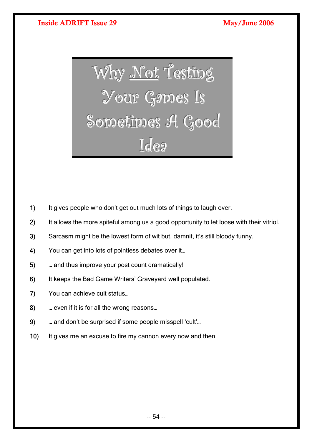<span id="page-53-0"></span>Why Not Testing Your Games Is Sometimes A Good Idea

- 1) It gives people who don't get out much lots of things to laugh over.
- 2) It allows the more spiteful among us a good opportunity to let loose with their vitriol.
- 3) Sarcasm might be the lowest form of wit but, damnit, it's still bloody funny.
- 4) You can get into lots of pointless debates over it...
- 5) … and thus improve your post count dramatically!
- 6) It keeps the Bad Game Writers' Graveyard well populated.
- 7) You can achieve cult status…
- 8) **EXEC 20** … even if it is for all the wrong reasons...
- 9) **a** … and don't be surprised if some people misspell 'cult'...
- 10) It gives me an excuse to fire my cannon every now and then.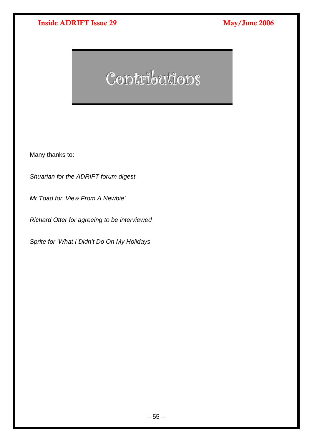# Contributions

Many thanks to:

*Shuarian for the ADRIFT forum digest* 

*Mr Toad for 'View From A Newbie'* 

*Richard Otter for agreeing to be interviewed* 

*Sprite for 'What I Didn't Do On My Holidays*